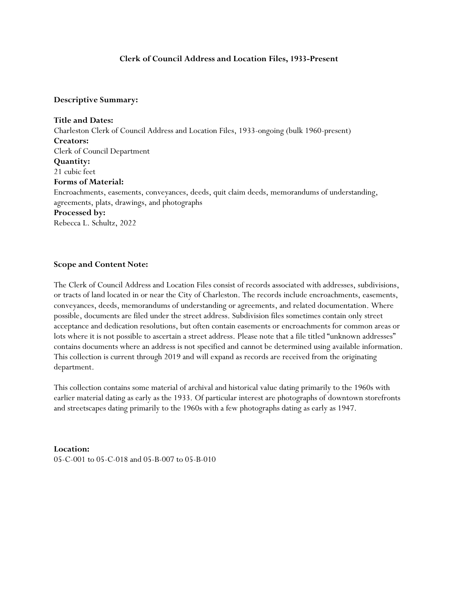# **Clerk of Council Address and Location Files, 1933-Present**

### **Descriptive Summary:**

**Title and Dates:** Charleston Clerk of Council Address and Location Files, 1933-ongoing (bulk 1960-present) **Creators:** Clerk of Council Department **Quantity:** 21 cubic feet **Forms of Material:** Encroachments, easements, conveyances, deeds, quit claim deeds, memorandums of understanding, agreements, plats, drawings, and photographs **Processed by:** Rebecca L. Schultz, 2022

## **Scope and Content Note:**

The Clerk of Council Address and Location Files consist of records associated with addresses, subdivisions, or tracts of land located in or near the City of Charleston. The records include encroachments, easements, conveyances, deeds, memorandums of understanding or agreements, and related documentation. Where possible, documents are filed under the street address. Subdivision files sometimes contain only street acceptance and dedication resolutions, but often contain easements or encroachments for common areas or lots where it is not possible to ascertain a street address. Please note that a file titled "unknown addresses" contains documents where an address is not specified and cannot be determined using available information. This collection is current through 2019 and will expand as records are received from the originating department.

This collection contains some material of archival and historical value dating primarily to the 1960s with earlier material dating as early as the 1933. Of particular interest are photographs of downtown storefronts and streetscapes dating primarily to the 1960s with a few photographs dating as early as 1947.

**Location:**  05-C-001 to 05-C-018 and 05-B-007 to 05-B-010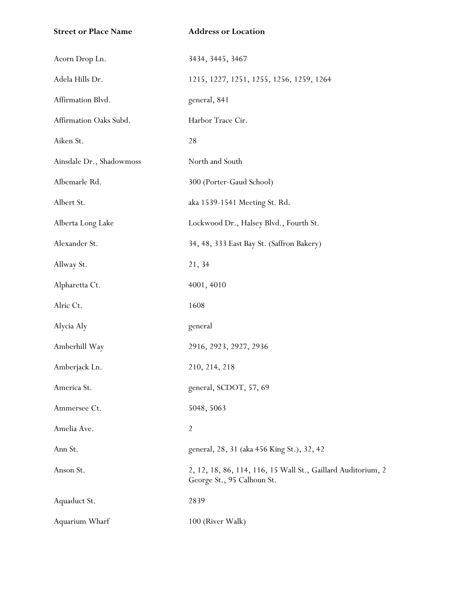| <b>Street or Place Name</b> | <b>Address or Location</b>                                                                 |
|-----------------------------|--------------------------------------------------------------------------------------------|
| Acorn Drop Ln.              | 3434, 3445, 3467                                                                           |
| Adela Hills Dr.             | 1215, 1227, 1251, 1255, 1256, 1259, 1264                                                   |
| Affirmation Blvd.           | general, 841                                                                               |
| Affirmation Oaks Subd.      | Harbor Trace Cir.                                                                          |
| Aiken St.                   | 28                                                                                         |
| Ainsdale Dr., Shadowmoss    | North and South                                                                            |
| Albemarle Rd.               | 300 (Porter-Gaud School)                                                                   |
| Albert St.                  | aka 1539-1541 Meeting St. Rd.                                                              |
| Alberta Long Lake           | Lockwood Dr., Halsey Blvd., Fourth St.                                                     |
| Alexander St.               | 34, 48, 333 East Bay St. (Saffron Bakery)                                                  |
| Allway St.                  | 21, 34                                                                                     |
| Alpharetta Ct.              | 4001, 4010                                                                                 |
| Alric Ct.                   | 1608                                                                                       |
| Alycia Aly                  | general                                                                                    |
| Amberhill Way               | 2916, 2923, 2927, 2936                                                                     |
| Amberjack Ln.               | 210, 214, 218                                                                              |
| America St.                 | general, SCDOT, 57, 69                                                                     |
| Ammersee Ct.                | 5048, 5063                                                                                 |
| Amelia Ave.                 | $\overline{2}$                                                                             |
| Ann St.                     | general, 28, 31 (aka 456 King St.), 32, 42                                                 |
| Anson St.                   | 2, 12, 18, 86, 114, 116, 15 Wall St., Gaillard Auditorium, 2<br>George St., 95 Calhoun St. |
| Aquaduct St.                | 2839                                                                                       |
| Aquarium Wharf              | 100 (River Walk)                                                                           |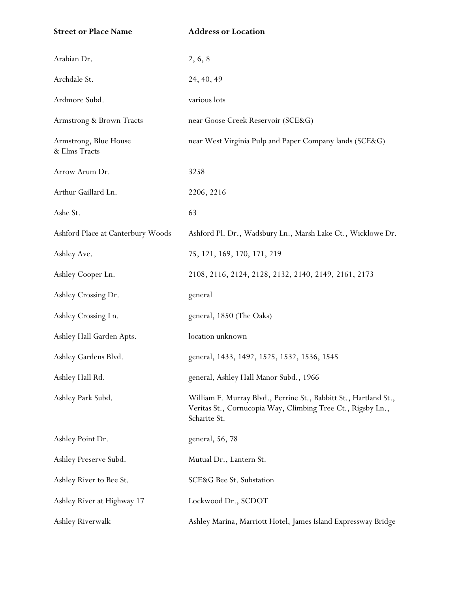| <b>Street or Place Name</b>            | <b>Address or Location</b>                                                                                                                      |
|----------------------------------------|-------------------------------------------------------------------------------------------------------------------------------------------------|
| Arabian Dr.                            | 2, 6, 8                                                                                                                                         |
| Archdale St.                           | 24, 40, 49                                                                                                                                      |
| Ardmore Subd.                          | various lots                                                                                                                                    |
| Armstrong & Brown Tracts               | near Goose Creek Reservoir (SCE&G)                                                                                                              |
| Armstrong, Blue House<br>& Elms Tracts | near West Virginia Pulp and Paper Company lands (SCE&G)                                                                                         |
| Arrow Arum Dr.                         | 3258                                                                                                                                            |
| Arthur Gaillard Ln.                    | 2206, 2216                                                                                                                                      |
| Ashe St.                               | 63                                                                                                                                              |
| Ashford Place at Canterbury Woods      | Ashford Pl. Dr., Wadsbury Ln., Marsh Lake Ct., Wicklowe Dr.                                                                                     |
| Ashley Ave.                            | 75, 121, 169, 170, 171, 219                                                                                                                     |
| Ashley Cooper Ln.                      | 2108, 2116, 2124, 2128, 2132, 2140, 2149, 2161, 2173                                                                                            |
| Ashley Crossing Dr.                    | general                                                                                                                                         |
| Ashley Crossing Ln.                    | general, 1850 (The Oaks)                                                                                                                        |
| Ashley Hall Garden Apts.               | location unknown                                                                                                                                |
| Ashley Gardens Blvd.                   | general, 1433, 1492, 1525, 1532, 1536, 1545                                                                                                     |
| Ashley Hall Rd.                        | general, Ashley Hall Manor Subd., 1966                                                                                                          |
| Ashley Park Subd.                      | William E. Murray Blvd., Perrine St., Babbitt St., Hartland St.,<br>Veritas St., Cornucopia Way, Climbing Tree Ct., Rigsby Ln.,<br>Scharite St. |
| Ashley Point Dr.                       | general, 56, 78                                                                                                                                 |
| Ashley Preserve Subd.                  | Mutual Dr., Lantern St.                                                                                                                         |
| Ashley River to Bee St.                | SCE&G Bee St. Substation                                                                                                                        |
| Ashley River at Highway 17             | Lockwood Dr., SCDOT                                                                                                                             |
| Ashley Riverwalk                       | Ashley Marina, Marriott Hotel, James Island Expressway Bridge                                                                                   |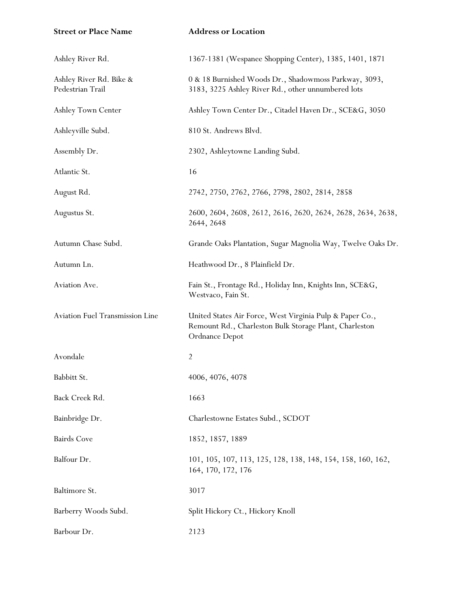| <b>Street or Place Name</b>                 | <b>Address or Location</b>                                                                                                           |
|---------------------------------------------|--------------------------------------------------------------------------------------------------------------------------------------|
| Ashley River Rd.                            | 1367-1381 (Wespanee Shopping Center), 1385, 1401, 1871                                                                               |
| Ashley River Rd. Bike &<br>Pedestrian Trail | 0 & 18 Burnished Woods Dr., Shadowmoss Parkway, 3093,<br>3183, 3225 Ashley River Rd., other unnumbered lots                          |
| Ashley Town Center                          | Ashley Town Center Dr., Citadel Haven Dr., SCE&G, 3050                                                                               |
| Ashleyville Subd.                           | 810 St. Andrews Blvd.                                                                                                                |
| Assembly Dr.                                | 2302, Ashleytowne Landing Subd.                                                                                                      |
| Atlantic St.                                | 16                                                                                                                                   |
| August Rd.                                  | 2742, 2750, 2762, 2766, 2798, 2802, 2814, 2858                                                                                       |
| Augustus St.                                | 2600, 2604, 2608, 2612, 2616, 2620, 2624, 2628, 2634, 2638,<br>2644, 2648                                                            |
| Autumn Chase Subd.                          | Grande Oaks Plantation, Sugar Magnolia Way, Twelve Oaks Dr.                                                                          |
| Autumn Ln.                                  | Heathwood Dr., 8 Plainfield Dr.                                                                                                      |
| Aviation Ave.                               | Fain St., Frontage Rd., Holiday Inn, Knights Inn, SCE&G,<br>Westvaco, Fain St.                                                       |
| Aviation Fuel Transmission Line             | United States Air Force, West Virginia Pulp & Paper Co.,<br>Remount Rd., Charleston Bulk Storage Plant, Charleston<br>Ordnance Depot |
| Avondale                                    | $\overline{2}$                                                                                                                       |
| Babbitt St.                                 | 4006, 4076, 4078                                                                                                                     |
| Back Creek Rd.                              | 1663                                                                                                                                 |
| Bainbridge Dr.                              | Charlestowne Estates Subd., SCDOT                                                                                                    |
| <b>Bairds Cove</b>                          | 1852, 1857, 1889                                                                                                                     |
| Balfour Dr.                                 | 101, 105, 107, 113, 125, 128, 138, 148, 154, 158, 160, 162,<br>164, 170, 172, 176                                                    |
| Baltimore St.                               | 3017                                                                                                                                 |
| Barberry Woods Subd.                        | Split Hickory Ct., Hickory Knoll                                                                                                     |
| Barbour Dr.                                 | 2123                                                                                                                                 |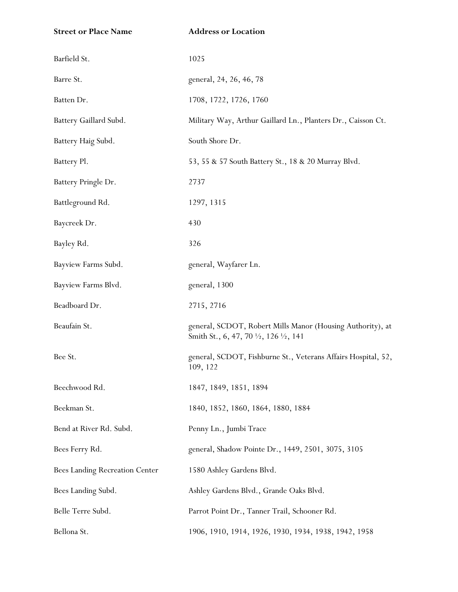| <b>Street or Place Name</b>    | <b>Address or Location</b>                                                                                                 |
|--------------------------------|----------------------------------------------------------------------------------------------------------------------------|
| Barfield St.                   | 1025                                                                                                                       |
| Barre St.                      | general, 24, 26, 46, 78                                                                                                    |
| Batten Dr.                     | 1708, 1722, 1726, 1760                                                                                                     |
| Battery Gaillard Subd.         | Military Way, Arthur Gaillard Ln., Planters Dr., Caisson Ct.                                                               |
| Battery Haig Subd.             | South Shore Dr.                                                                                                            |
| Battery Pl.                    | 53, 55 & 57 South Battery St., 18 & 20 Murray Blvd.                                                                        |
| Battery Pringle Dr.            | 2737                                                                                                                       |
| Battleground Rd.               | 1297, 1315                                                                                                                 |
| Baycreek Dr.                   | 430                                                                                                                        |
| Bayley Rd.                     | 326                                                                                                                        |
| Bayview Farms Subd.            | general, Wayfarer Ln.                                                                                                      |
| Bayview Farms Blvd.            | general, 1300                                                                                                              |
| Beadboard Dr.                  | 2715, 2716                                                                                                                 |
| Beaufain St.                   | general, SCDOT, Robert Mills Manor (Housing Authority), at<br>Smith St., 6, 47, 70 $\frac{1}{2}$ , 126 $\frac{1}{2}$ , 141 |
| Bee St.                        | general, SCDOT, Fishburne St., Veterans Affairs Hospital, 52,<br>109, 122                                                  |
| Beechwood Rd.                  | 1847, 1849, 1851, 1894                                                                                                     |
| Beekman St.                    | 1840, 1852, 1860, 1864, 1880, 1884                                                                                         |
| Bend at River Rd. Subd.        | Penny Ln., Jumbi Trace                                                                                                     |
| Bees Ferry Rd.                 | general, Shadow Pointe Dr., 1449, 2501, 3075, 3105                                                                         |
| Bees Landing Recreation Center | 1580 Ashley Gardens Blvd.                                                                                                  |
| Bees Landing Subd.             | Ashley Gardens Blvd., Grande Oaks Blvd.                                                                                    |
| Belle Terre Subd.              | Parrot Point Dr., Tanner Trail, Schooner Rd.                                                                               |
| Bellona St.                    | 1906, 1910, 1914, 1926, 1930, 1934, 1938, 1942, 1958                                                                       |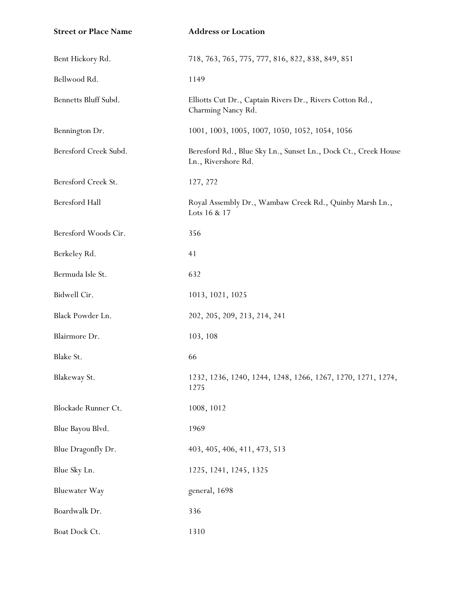| <b>Street or Place Name</b> | <b>Address or Location</b>                                                            |
|-----------------------------|---------------------------------------------------------------------------------------|
| Bent Hickory Rd.            | 718, 763, 765, 775, 777, 816, 822, 838, 849, 851                                      |
| Bellwood Rd.                | 1149                                                                                  |
| Bennetts Bluff Subd.        | Elliotts Cut Dr., Captain Rivers Dr., Rivers Cotton Rd.,<br>Charming Nancy Rd.        |
| Bennington Dr.              | 1001, 1003, 1005, 1007, 1050, 1052, 1054, 1056                                        |
| Beresford Creek Subd.       | Beresford Rd., Blue Sky Ln., Sunset Ln., Dock Ct., Creek House<br>Ln., Rivershore Rd. |
| Beresford Creek St.         | 127, 272                                                                              |
| <b>Beresford Hall</b>       | Royal Assembly Dr., Wambaw Creek Rd., Quinby Marsh Ln.,<br>Lots 16 & 17               |
| Beresford Woods Cir.        | 356                                                                                   |
| Berkeley Rd.                | 41                                                                                    |
| Bermuda Isle St.            | 632                                                                                   |
| Bidwell Cir.                | 1013, 1021, 1025                                                                      |
| Black Powder Ln.            | 202, 205, 209, 213, 214, 241                                                          |
| Blairmore Dr.               | 103, 108                                                                              |
| Blake St.                   | 66                                                                                    |
| Blakeway St.                | 1232, 1236, 1240, 1244, 1248, 1266, 1267, 1270, 1271, 1274,<br>1275                   |
| Blockade Runner Ct.         | 1008, 1012                                                                            |
| Blue Bayou Blvd.            | 1969                                                                                  |
| Blue Dragonfly Dr.          | 403, 405, 406, 411, 473, 513                                                          |
| Blue Sky Ln.                | 1225, 1241, 1245, 1325                                                                |
| <b>Bluewater Way</b>        | general, 1698                                                                         |
| Boardwalk Dr.               | 336                                                                                   |
| Boat Dock Ct.               | 1310                                                                                  |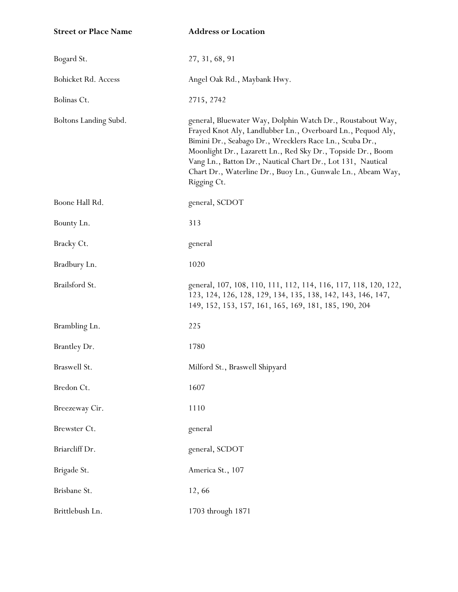| <b>Street or Place Name</b> | <b>Address or Location</b>                                                                                                                                                                                                                                                                                                                                                                       |
|-----------------------------|--------------------------------------------------------------------------------------------------------------------------------------------------------------------------------------------------------------------------------------------------------------------------------------------------------------------------------------------------------------------------------------------------|
| Bogard St.                  | 27, 31, 68, 91                                                                                                                                                                                                                                                                                                                                                                                   |
| Bohicket Rd. Access         | Angel Oak Rd., Maybank Hwy.                                                                                                                                                                                                                                                                                                                                                                      |
| Bolinas Ct.                 | 2715, 2742                                                                                                                                                                                                                                                                                                                                                                                       |
| Boltons Landing Subd.       | general, Bluewater Way, Dolphin Watch Dr., Roustabout Way,<br>Frayed Knot Aly, Landlubber Ln., Overboard Ln., Pequod Aly,<br>Bimini Dr., Seabago Dr., Wrecklers Race Ln., Scuba Dr.,<br>Moonlight Dr., Lazarett Ln., Red Sky Dr., Topside Dr., Boom<br>Vang Ln., Batton Dr., Nautical Chart Dr., Lot 131, Nautical<br>Chart Dr., Waterline Dr., Buoy Ln., Gunwale Ln., Abeam Way,<br>Rigging Ct. |
| Boone Hall Rd.              | general, SCDOT                                                                                                                                                                                                                                                                                                                                                                                   |
| Bounty Ln.                  | 313                                                                                                                                                                                                                                                                                                                                                                                              |
| Bracky Ct.                  | general                                                                                                                                                                                                                                                                                                                                                                                          |
| Bradbury Ln.                | 1020                                                                                                                                                                                                                                                                                                                                                                                             |
| Brailsford St.              | general, 107, 108, 110, 111, 112, 114, 116, 117, 118, 120, 122,<br>123, 124, 126, 128, 129, 134, 135, 138, 142, 143, 146, 147,<br>149, 152, 153, 157, 161, 165, 169, 181, 185, 190, 204                                                                                                                                                                                                          |
| Brambling Ln.               | 225                                                                                                                                                                                                                                                                                                                                                                                              |
| Brantley Dr.                | 1780                                                                                                                                                                                                                                                                                                                                                                                             |
| Braswell St.                | Milford St., Braswell Shipyard                                                                                                                                                                                                                                                                                                                                                                   |
| Bredon Ct.                  | 1607                                                                                                                                                                                                                                                                                                                                                                                             |
| Breezeway Cir.              | 1110                                                                                                                                                                                                                                                                                                                                                                                             |
| Brewster Ct.                | general                                                                                                                                                                                                                                                                                                                                                                                          |
| Briarcliff Dr.              | general, SCDOT                                                                                                                                                                                                                                                                                                                                                                                   |
| Brigade St.                 | America St., 107                                                                                                                                                                                                                                                                                                                                                                                 |
| Brisbane St.                | 12,66                                                                                                                                                                                                                                                                                                                                                                                            |
| Brittlebush Ln.             | 1703 through 1871                                                                                                                                                                                                                                                                                                                                                                                |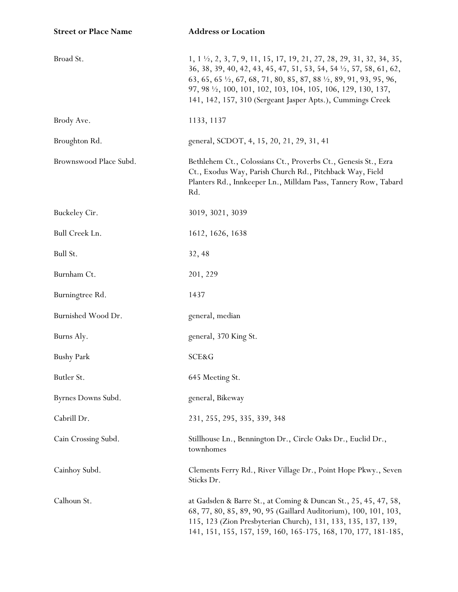| <b>Street or Place Name</b> | <b>Address or Location</b>                                                                                                                                                                                                                                                                                                                                                                                |
|-----------------------------|-----------------------------------------------------------------------------------------------------------------------------------------------------------------------------------------------------------------------------------------------------------------------------------------------------------------------------------------------------------------------------------------------------------|
| Broad St.                   | 1, 1 $\frac{1}{2}$ , 2, 3, 7, 9, 11, 15, 17, 19, 21, 27, 28, 29, 31, 32, 34, 35,<br>36, 38, 39, 40, 42, 43, 45, 47, 51, 53, 54, 54 $\frac{1}{2}$ , 57, 58, 61, 62,<br>63, 65, 65 $\frac{1}{2}$ , 67, 68, 71, 80, 85, 87, 88 $\frac{1}{2}$ , 89, 91, 93, 95, 96,<br>97, 98 $\frac{1}{2}$ , 100, 101, 102, 103, 104, 105, 106, 129, 130, 137,<br>141, 142, 157, 310 (Sergeant Jasper Apts.), Cummings Creek |
| Brody Ave.                  | 1133, 1137                                                                                                                                                                                                                                                                                                                                                                                                |
| Broughton Rd.               | general, SCDOT, 4, 15, 20, 21, 29, 31, 41                                                                                                                                                                                                                                                                                                                                                                 |
| Brownswood Place Subd.      | Bethlehem Ct., Colossians Ct., Proverbs Ct., Genesis St., Ezra<br>Ct., Exodus Way, Parish Church Rd., Pitchback Way, Field<br>Planters Rd., Innkeeper Ln., Milldam Pass, Tannery Row, Tabard<br>Rd.                                                                                                                                                                                                       |
| Buckeley Cir.               | 3019, 3021, 3039                                                                                                                                                                                                                                                                                                                                                                                          |
| Bull Creek Ln.              | 1612, 1626, 1638                                                                                                                                                                                                                                                                                                                                                                                          |
| Bull St.                    | 32, 48                                                                                                                                                                                                                                                                                                                                                                                                    |
| Burnham Ct.                 | 201, 229                                                                                                                                                                                                                                                                                                                                                                                                  |
| Burningtree Rd.             | 1437                                                                                                                                                                                                                                                                                                                                                                                                      |
| Burnished Wood Dr.          | general, median                                                                                                                                                                                                                                                                                                                                                                                           |
| Burns Aly.                  | general, 370 King St.                                                                                                                                                                                                                                                                                                                                                                                     |
| <b>Bushy Park</b>           | SCE&G                                                                                                                                                                                                                                                                                                                                                                                                     |
| Butler St.                  | 645 Meeting St.                                                                                                                                                                                                                                                                                                                                                                                           |
| Byrnes Downs Subd.          | general, Bikeway                                                                                                                                                                                                                                                                                                                                                                                          |
| Cabrill Dr.                 | 231, 255, 295, 335, 339, 348                                                                                                                                                                                                                                                                                                                                                                              |
| Cain Crossing Subd.         | Stillhouse Ln., Bennington Dr., Circle Oaks Dr., Euclid Dr.,<br>townhomes                                                                                                                                                                                                                                                                                                                                 |
| Cainhoy Subd.               | Clements Ferry Rd., River Village Dr., Point Hope Pkwy., Seven<br>Sticks Dr.                                                                                                                                                                                                                                                                                                                              |
| Calhoun St.                 | at Gadsden & Barre St., at Coming & Duncan St., 25, 45, 47, 58,<br>68, 77, 80, 85, 89, 90, 95 (Gaillard Auditorium), 100, 101, 103,<br>115, 123 (Zion Presbyterian Church), 131, 133, 135, 137, 139,<br>141, 151, 155, 157, 159, 160, 165-175, 168, 170, 177, 181-185,                                                                                                                                    |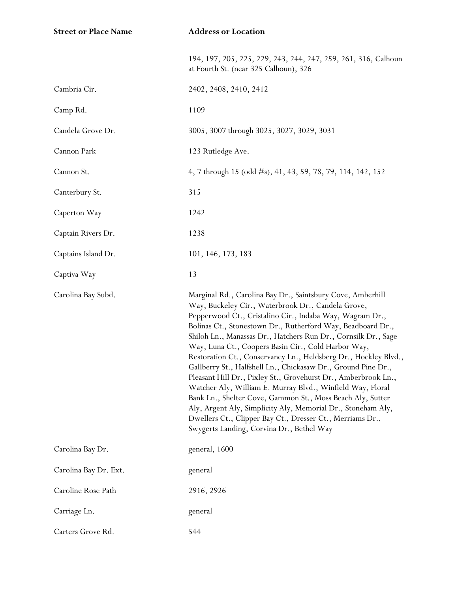| <b>Street or Place Name</b> | <b>Address or Location</b>                                                                                                                                                                                                                                                                                                                                                                                                                                                                                                                                                                                                                                                                                                                                                                                                                                                       |
|-----------------------------|----------------------------------------------------------------------------------------------------------------------------------------------------------------------------------------------------------------------------------------------------------------------------------------------------------------------------------------------------------------------------------------------------------------------------------------------------------------------------------------------------------------------------------------------------------------------------------------------------------------------------------------------------------------------------------------------------------------------------------------------------------------------------------------------------------------------------------------------------------------------------------|
|                             | 194, 197, 205, 225, 229, 243, 244, 247, 259, 261, 316, Calhoun<br>at Fourth St. (near 325 Calhoun), 326                                                                                                                                                                                                                                                                                                                                                                                                                                                                                                                                                                                                                                                                                                                                                                          |
| Cambria Cir.                | 2402, 2408, 2410, 2412                                                                                                                                                                                                                                                                                                                                                                                                                                                                                                                                                                                                                                                                                                                                                                                                                                                           |
| Camp Rd.                    | 1109                                                                                                                                                                                                                                                                                                                                                                                                                                                                                                                                                                                                                                                                                                                                                                                                                                                                             |
| Candela Grove Dr.           | 3005, 3007 through 3025, 3027, 3029, 3031                                                                                                                                                                                                                                                                                                                                                                                                                                                                                                                                                                                                                                                                                                                                                                                                                                        |
| Cannon Park                 | 123 Rutledge Ave.                                                                                                                                                                                                                                                                                                                                                                                                                                                                                                                                                                                                                                                                                                                                                                                                                                                                |
| Cannon St.                  | 4, 7 through 15 (odd #s), 41, 43, 59, 78, 79, 114, 142, 152                                                                                                                                                                                                                                                                                                                                                                                                                                                                                                                                                                                                                                                                                                                                                                                                                      |
| Canterbury St.              | 315                                                                                                                                                                                                                                                                                                                                                                                                                                                                                                                                                                                                                                                                                                                                                                                                                                                                              |
| Caperton Way                | 1242                                                                                                                                                                                                                                                                                                                                                                                                                                                                                                                                                                                                                                                                                                                                                                                                                                                                             |
| Captain Rivers Dr.          | 1238                                                                                                                                                                                                                                                                                                                                                                                                                                                                                                                                                                                                                                                                                                                                                                                                                                                                             |
| Captains Island Dr.         | 101, 146, 173, 183                                                                                                                                                                                                                                                                                                                                                                                                                                                                                                                                                                                                                                                                                                                                                                                                                                                               |
| Captiva Way                 | 13                                                                                                                                                                                                                                                                                                                                                                                                                                                                                                                                                                                                                                                                                                                                                                                                                                                                               |
| Carolina Bay Subd.          | Marginal Rd., Carolina Bay Dr., Saintsbury Cove, Amberhill<br>Way, Buckeley Cir., Waterbrook Dr., Candela Grove,<br>Pepperwood Ct., Cristalino Cir., Indaba Way, Wagram Dr.,<br>Bolinas Ct., Stonestown Dr., Rutherford Way, Beadboard Dr.,<br>Shiloh Ln., Manassas Dr., Hatchers Run Dr., Cornsilk Dr., Sage<br>Way, Luna Ct., Coopers Basin Cir., Cold Harbor Way,<br>Restoration Ct., Conservancy Ln., Heldsberg Dr., Hockley Blvd.,<br>Gallberry St., Halfshell Ln., Chickasaw Dr., Ground Pine Dr.,<br>Pleasant Hill Dr., Pixley St., Grovehurst Dr., Amberbrook Ln.,<br>Watcher Aly, William E. Murray Blvd., Winfield Way, Floral<br>Bank Ln., Shelter Cove, Gammon St., Moss Beach Aly, Sutter<br>Aly, Argent Aly, Simplicity Aly, Memorial Dr., Stoneham Aly,<br>Dwellers Ct., Clipper Bay Ct., Dresser Ct., Merriams Dr.,<br>Swygerts Landing, Corvina Dr., Bethel Way |
| Carolina Bay Dr.            | general, 1600                                                                                                                                                                                                                                                                                                                                                                                                                                                                                                                                                                                                                                                                                                                                                                                                                                                                    |
| Carolina Bay Dr. Ext.       | general                                                                                                                                                                                                                                                                                                                                                                                                                                                                                                                                                                                                                                                                                                                                                                                                                                                                          |
| Caroline Rose Path          | 2916, 2926                                                                                                                                                                                                                                                                                                                                                                                                                                                                                                                                                                                                                                                                                                                                                                                                                                                                       |
| Carriage Ln.                | general                                                                                                                                                                                                                                                                                                                                                                                                                                                                                                                                                                                                                                                                                                                                                                                                                                                                          |
| Carters Grove Rd.           | 544                                                                                                                                                                                                                                                                                                                                                                                                                                                                                                                                                                                                                                                                                                                                                                                                                                                                              |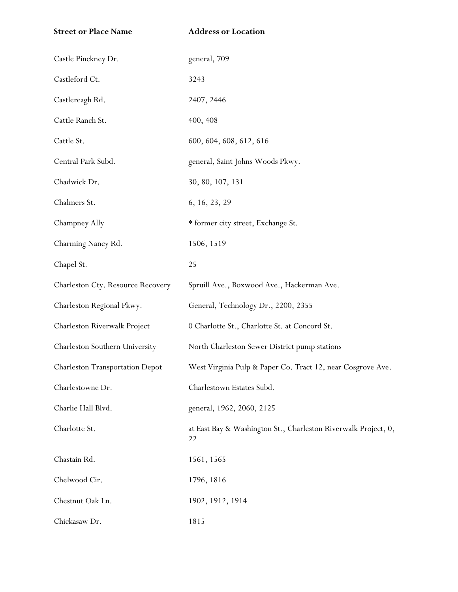| <b>Street or Place Name</b>            | <b>Address or Location</b>                                           |
|----------------------------------------|----------------------------------------------------------------------|
| Castle Pinckney Dr.                    | general, 709                                                         |
| Castleford Ct.                         | 3243                                                                 |
| Castlereagh Rd.                        | 2407, 2446                                                           |
| Cattle Ranch St.                       | 400, 408                                                             |
| Cattle St.                             | 600, 604, 608, 612, 616                                              |
| Central Park Subd.                     | general, Saint Johns Woods Pkwy.                                     |
| Chadwick Dr.                           | 30, 80, 107, 131                                                     |
| Chalmers St.                           | 6, 16, 23, 29                                                        |
| Champney Ally                          | * former city street, Exchange St.                                   |
| Charming Nancy Rd.                     | 1506, 1519                                                           |
| Chapel St.                             | 25                                                                   |
| Charleston Cty. Resource Recovery      | Spruill Ave., Boxwood Ave., Hackerman Ave.                           |
| Charleston Regional Pkwy.              | General, Technology Dr., 2200, 2355                                  |
| Charleston Riverwalk Project           | 0 Charlotte St., Charlotte St. at Concord St.                        |
| Charleston Southern University         | North Charleston Sewer District pump stations                        |
| <b>Charleston Transportation Depot</b> | West Virginia Pulp & Paper Co. Tract 12, near Cosgrove Ave.          |
| Charlestowne Dr.                       | Charlestown Estates Subd.                                            |
| Charlie Hall Blvd.                     | general, 1962, 2060, 2125                                            |
| Charlotte St.                          | at East Bay & Washington St., Charleston Riverwalk Project, 0,<br>22 |
| Chastain Rd.                           | 1561, 1565                                                           |
| Chelwood Cir.                          | 1796, 1816                                                           |
| Chestnut Oak Ln.                       | 1902, 1912, 1914                                                     |
| Chickasaw Dr.                          | 1815                                                                 |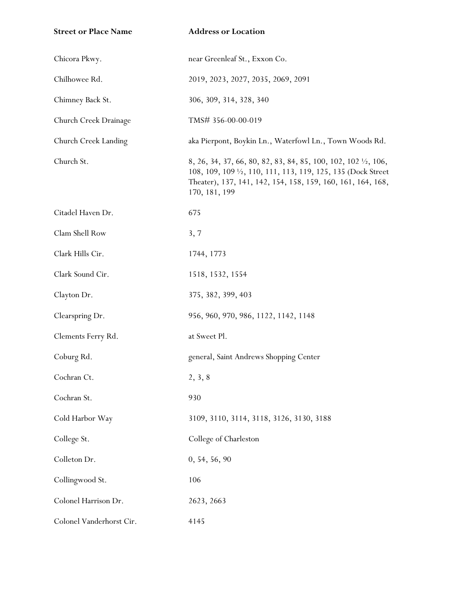| <b>Street or Place Name</b> | <b>Address or Location</b>                                                                                                                                                                                                |
|-----------------------------|---------------------------------------------------------------------------------------------------------------------------------------------------------------------------------------------------------------------------|
| Chicora Pkwy.               | near Greenleaf St., Exxon Co.                                                                                                                                                                                             |
| Chilhowee Rd.               | 2019, 2023, 2027, 2035, 2069, 2091                                                                                                                                                                                        |
| Chimney Back St.            | 306, 309, 314, 328, 340                                                                                                                                                                                                   |
| Church Creek Drainage       | TMS# 356-00-00-019                                                                                                                                                                                                        |
| Church Creek Landing        | aka Pierpont, Boykin Ln., Waterfowl Ln., Town Woods Rd.                                                                                                                                                                   |
| Church St.                  | 8, 26, 34, 37, 66, 80, 82, 83, 84, 85, 100, 102, 102 $\frac{1}{2}$ , 106,<br>108, 109, 109 1/2, 110, 111, 113, 119, 125, 135 (Dock Street<br>Theater), 137, 141, 142, 154, 158, 159, 160, 161, 164, 168,<br>170, 181, 199 |
| Citadel Haven Dr.           | 675                                                                                                                                                                                                                       |
| Clam Shell Row              | 3, 7                                                                                                                                                                                                                      |
| Clark Hills Cir.            | 1744, 1773                                                                                                                                                                                                                |
| Clark Sound Cir.            | 1518, 1532, 1554                                                                                                                                                                                                          |
| Clayton Dr.                 | 375, 382, 399, 403                                                                                                                                                                                                        |
| Clearspring Dr.             | 956, 960, 970, 986, 1122, 1142, 1148                                                                                                                                                                                      |
| Clements Ferry Rd.          | at Sweet Pl.                                                                                                                                                                                                              |
| Coburg Rd.                  | general, Saint Andrews Shopping Center                                                                                                                                                                                    |
| Cochran Ct.                 | 2, 3, 8                                                                                                                                                                                                                   |
| Cochran St.                 | 930                                                                                                                                                                                                                       |
| Cold Harbor Way             | 3109, 3110, 3114, 3118, 3126, 3130, 3188                                                                                                                                                                                  |
| College St.                 | College of Charleston                                                                                                                                                                                                     |
| Colleton Dr.                | 0, 54, 56, 90                                                                                                                                                                                                             |
| Collingwood St.             | 106                                                                                                                                                                                                                       |
| Colonel Harrison Dr.        | 2623, 2663                                                                                                                                                                                                                |
| Colonel Vanderhorst Cir.    | 4145                                                                                                                                                                                                                      |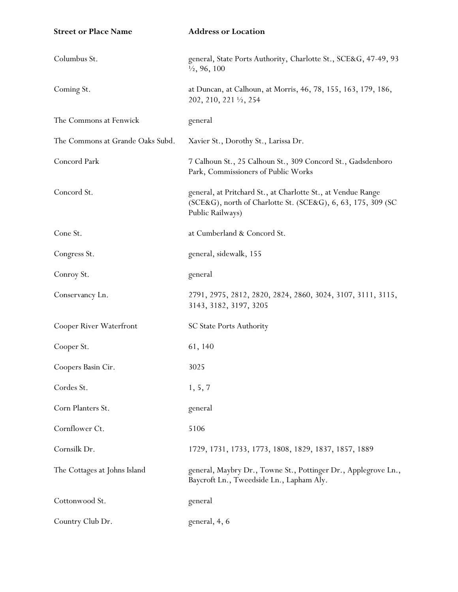| <b>Street or Place Name</b>      | <b>Address or Location</b>                                                                                                                       |
|----------------------------------|--------------------------------------------------------------------------------------------------------------------------------------------------|
| Columbus St.                     | general, State Ports Authority, Charlotte St., SCE&G, 47-49, 93<br>$\frac{1}{2}$ , 96, 100                                                       |
| Coming St.                       | at Duncan, at Calhoun, at Morris, 46, 78, 155, 163, 179, 186,<br>202, 210, 221 1/2, 254                                                          |
| The Commons at Fenwick           | general                                                                                                                                          |
| The Commons at Grande Oaks Subd. | Xavier St., Dorothy St., Larissa Dr.                                                                                                             |
| Concord Park                     | 7 Calhoun St., 25 Calhoun St., 309 Concord St., Gadsdenboro<br>Park, Commissioners of Public Works                                               |
| Concord St.                      | general, at Pritchard St., at Charlotte St., at Vendue Range<br>(SCE&G), north of Charlotte St. (SCE&G), 6, 63, 175, 309 (SC<br>Public Railways) |
| Cone St.                         | at Cumberland & Concord St.                                                                                                                      |
| Congress St.                     | general, sidewalk, 155                                                                                                                           |
| Conroy St.                       | general                                                                                                                                          |
| Conservancy Ln.                  | 2791, 2975, 2812, 2820, 2824, 2860, 3024, 3107, 3111, 3115,<br>3143, 3182, 3197, 3205                                                            |
| Cooper River Waterfront          | <b>SC State Ports Authority</b>                                                                                                                  |
| Cooper St.                       | 61, 140                                                                                                                                          |
| Coopers Basin Cir.               | 3025                                                                                                                                             |
| Cordes St.                       | 1, 5, 7                                                                                                                                          |
| Corn Planters St.                | general                                                                                                                                          |
| Cornflower Ct.                   | 5106                                                                                                                                             |
| Cornsilk Dr.                     | 1729, 1731, 1733, 1773, 1808, 1829, 1837, 1857, 1889                                                                                             |
| The Cottages at Johns Island     | general, Maybry Dr., Towne St., Pottinger Dr., Applegrove Ln.,<br>Baycroft Ln., Tweedside Ln., Lapham Aly.                                       |
| Cottonwood St.                   | general                                                                                                                                          |
| Country Club Dr.                 | general, 4, 6                                                                                                                                    |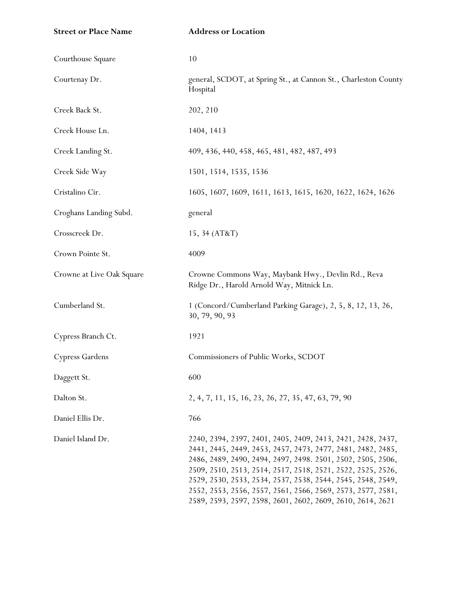| <b>Street or Place Name</b> | <b>Address or Location</b>                                                                                                                                                                                                                                                                                                                                                                                                                           |
|-----------------------------|------------------------------------------------------------------------------------------------------------------------------------------------------------------------------------------------------------------------------------------------------------------------------------------------------------------------------------------------------------------------------------------------------------------------------------------------------|
| Courthouse Square           | 10                                                                                                                                                                                                                                                                                                                                                                                                                                                   |
| Courtenay Dr.               | general, SCDOT, at Spring St., at Cannon St., Charleston County<br>Hospital                                                                                                                                                                                                                                                                                                                                                                          |
| Creek Back St.              | 202, 210                                                                                                                                                                                                                                                                                                                                                                                                                                             |
| Creek House Ln.             | 1404, 1413                                                                                                                                                                                                                                                                                                                                                                                                                                           |
| Creek Landing St.           | 409, 436, 440, 458, 465, 481, 482, 487, 493                                                                                                                                                                                                                                                                                                                                                                                                          |
| Creek Side Way              | 1501, 1514, 1535, 1536                                                                                                                                                                                                                                                                                                                                                                                                                               |
| Cristalino Cir.             | 1605, 1607, 1609, 1611, 1613, 1615, 1620, 1622, 1624, 1626                                                                                                                                                                                                                                                                                                                                                                                           |
| Croghans Landing Subd.      | general                                                                                                                                                                                                                                                                                                                                                                                                                                              |
| Crosscreek Dr.              | 15, 34 (AT&T)                                                                                                                                                                                                                                                                                                                                                                                                                                        |
| Crown Pointe St.            | 4009                                                                                                                                                                                                                                                                                                                                                                                                                                                 |
| Crowne at Live Oak Square   | Crowne Commons Way, Maybank Hwy., Devlin Rd., Reva<br>Ridge Dr., Harold Arnold Way, Mitnick Ln.                                                                                                                                                                                                                                                                                                                                                      |
| Cumberland St.              | 1 (Concord/Cumberland Parking Garage), 2, 5, 8, 12, 13, 26,<br>30, 79, 90, 93                                                                                                                                                                                                                                                                                                                                                                        |
| Cypress Branch Ct.          | 1921                                                                                                                                                                                                                                                                                                                                                                                                                                                 |
| Cypress Gardens             | Commissioners of Public Works, SCDOT                                                                                                                                                                                                                                                                                                                                                                                                                 |
| Daggett St.                 | 600                                                                                                                                                                                                                                                                                                                                                                                                                                                  |
| Dalton St.                  | 2, 4, 7, 11, 15, 16, 23, 26, 27, 35, 47, 63, 79, 90                                                                                                                                                                                                                                                                                                                                                                                                  |
| Daniel Ellis Dr.            | 766                                                                                                                                                                                                                                                                                                                                                                                                                                                  |
| Daniel Island Dr.           | 2240, 2394, 2397, 2401, 2405, 2409, 2413, 2421, 2428, 2437,<br>2441, 2445, 2449, 2453, 2457, 2473, 2477, 2481, 2482, 2485,<br>2486, 2489, 2490, 2494, 2497, 2498. 2501, 2502, 2505, 2506,<br>2509, 2510, 2513, 2514, 2517, 2518, 2521, 2522, 2525, 2526,<br>2529, 2530, 2533, 2534, 2537, 2538, 2544, 2545, 2548, 2549,<br>2552, 2553, 2556, 2557, 2561, 2566, 2569, 2573, 2577, 2581,<br>2589, 2593, 2597, 2598, 2601, 2602, 2609, 2610, 2614, 2621 |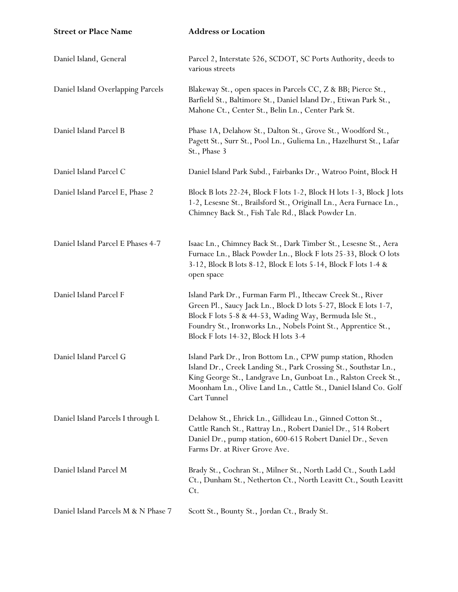| <b>Street or Place Name</b>         | <b>Address or Location</b>                                                                                                                                                                                                                                                                        |
|-------------------------------------|---------------------------------------------------------------------------------------------------------------------------------------------------------------------------------------------------------------------------------------------------------------------------------------------------|
| Daniel Island, General              | Parcel 2, Interstate 526, SCDOT, SC Ports Authority, deeds to<br>various streets                                                                                                                                                                                                                  |
| Daniel Island Overlapping Parcels   | Blakeway St., open spaces in Parcels CC, Z & BB; Pierce St.,<br>Barfield St., Baltimore St., Daniel Island Dr., Etiwan Park St.,<br>Mahone Ct., Center St., Belin Ln., Center Park St.                                                                                                            |
| Daniel Island Parcel B              | Phase 1A, Delahow St., Dalton St., Grove St., Woodford St.,<br>Pagett St., Surr St., Pool Ln., Guliema Ln., Hazelhurst St., Lafar<br>St., Phase 3                                                                                                                                                 |
| Daniel Island Parcel C              | Daniel Island Park Subd., Fairbanks Dr., Watroo Point, Block H                                                                                                                                                                                                                                    |
| Daniel Island Parcel E, Phase 2     | Block B lots 22-24, Block F lots 1-2, Block H lots 1-3, Block J lots<br>1-2, Lesesne St., Brailsford St., Originall Ln., Aera Furnace Ln.,<br>Chimney Back St., Fish Tale Rd., Black Powder Ln.                                                                                                   |
| Daniel Island Parcel E Phases 4-7   | Isaac Ln., Chimney Back St., Dark Timber St., Lesesne St., Aera<br>Furnace Ln., Black Powder Ln., Block F lots 25-33, Block O lots<br>3-12, Block B lots 8-12, Block E lots 5-14, Block F lots 1-4 &<br>open space                                                                                |
| Daniel Island Parcel F              | Island Park Dr., Furman Farm Pl., Ithecaw Creek St., River<br>Green Pl., Saucy Jack Ln., Block D lots 5-27, Block E lots 1-7,<br>Block F lots 5-8 & 44-53, Wading Way, Bermuda Isle St.,<br>Foundry St., Ironworks Ln., Nobels Point St., Apprentice St.,<br>Block F lots 14-32, Block H lots 3-4 |
| Daniel Island Parcel G              | Island Park Dr., Iron Bottom Ln., CPW pump station, Rhoden<br>Island Dr., Creek Landing St., Park Crossing St., Southstar Ln.,<br>King George St., Landgrave Ln, Gunboat Ln., Ralston Creek St.,<br>Moonham Ln., Olive Land Ln., Cattle St., Daniel Island Co. Golf<br>Cart Tunnel                |
| Daniel Island Parcels I through L   | Delahow St., Ehrick Ln., Gillideau Ln., Ginned Cotton St.,<br>Cattle Ranch St., Rattray Ln., Robert Daniel Dr., 514 Robert<br>Daniel Dr., pump station, 600-615 Robert Daniel Dr., Seven<br>Farms Dr. at River Grove Ave.                                                                         |
| Daniel Island Parcel M              | Brady St., Cochran St., Milner St., North Ladd Ct., South Ladd<br>Ct., Dunham St., Netherton Ct., North Leavitt Ct., South Leavitt<br>Ct.                                                                                                                                                         |
| Daniel Island Parcels M & N Phase 7 | Scott St., Bounty St., Jordan Ct., Brady St.                                                                                                                                                                                                                                                      |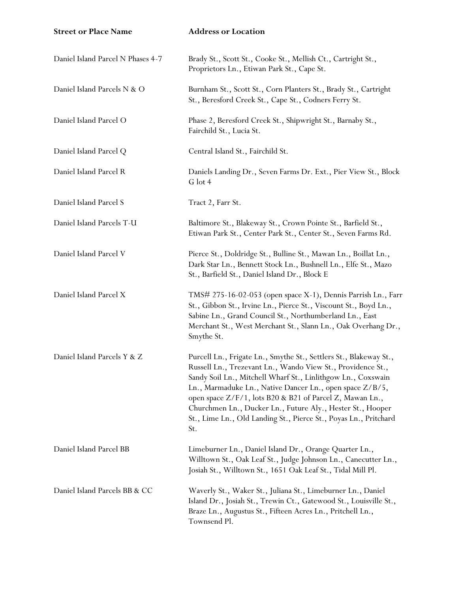| <b>Street or Place Name</b>       | <b>Address or Location</b>                                                                                                                                                                                                                                                                                                                                                                                                                                        |
|-----------------------------------|-------------------------------------------------------------------------------------------------------------------------------------------------------------------------------------------------------------------------------------------------------------------------------------------------------------------------------------------------------------------------------------------------------------------------------------------------------------------|
| Daniel Island Parcel N Phases 4-7 | Brady St., Scott St., Cooke St., Mellish Ct., Cartright St.,<br>Proprietors Ln., Etiwan Park St., Cape St.                                                                                                                                                                                                                                                                                                                                                        |
| Daniel Island Parcels N & O       | Burnham St., Scott St., Corn Planters St., Brady St., Cartright<br>St., Beresford Creek St., Cape St., Codners Ferry St.                                                                                                                                                                                                                                                                                                                                          |
| Daniel Island Parcel O            | Phase 2, Beresford Creek St., Shipwright St., Barnaby St.,<br>Fairchild St., Lucia St.                                                                                                                                                                                                                                                                                                                                                                            |
| Daniel Island Parcel Q            | Central Island St., Fairchild St.                                                                                                                                                                                                                                                                                                                                                                                                                                 |
| Daniel Island Parcel R            | Daniels Landing Dr., Seven Farms Dr. Ext., Pier View St., Block<br>G lot 4                                                                                                                                                                                                                                                                                                                                                                                        |
| Daniel Island Parcel S            | Tract 2, Farr St.                                                                                                                                                                                                                                                                                                                                                                                                                                                 |
| Daniel Island Parcels T-U         | Baltimore St., Blakeway St., Crown Pointe St., Barfield St.,<br>Etiwan Park St., Center Park St., Center St., Seven Farms Rd.                                                                                                                                                                                                                                                                                                                                     |
| Daniel Island Parcel V            | Pierce St., Doldridge St., Bulline St., Mawan Ln., Boillat Ln.,<br>Dark Star Ln., Bennett Stock Ln., Bushnell Ln., Elfe St., Mazo<br>St., Barfield St., Daniel Island Dr., Block E                                                                                                                                                                                                                                                                                |
| Daniel Island Parcel X            | TMS# 275-16-02-053 (open space X-1), Dennis Parrish Ln., Farr<br>St., Gibbon St., Irvine Ln., Pierce St., Viscount St., Boyd Ln.,<br>Sabine Ln., Grand Council St., Northumberland Ln., East<br>Merchant St., West Merchant St., Slann Ln., Oak Overhang Dr.,<br>Smythe St.                                                                                                                                                                                       |
| Daniel Island Parcels Y & Z       | Purcell Ln., Frigate Ln., Smythe St., Settlers St., Blakeway St.,<br>Russell Ln., Trezevant Ln., Wando View St., Providence St.,<br>Sandy Soil Ln., Mitchell Wharf St., Linlithgow Ln., Coxswain<br>Ln., Marmaduke Ln., Native Dancer Ln., open space Z/B/5,<br>open space Z/F/1, lots B20 & B21 of Parcel Z, Mawan Ln.,<br>Churchmen Ln., Ducker Ln., Future Aly., Hester St., Hooper<br>St., Lime Ln., Old Landing St., Pierce St., Poyas Ln., Pritchard<br>St. |
| Daniel Island Parcel BB           | Limeburner Ln., Daniel Island Dr., Orange Quarter Ln.,<br>Willtown St., Oak Leaf St., Judge Johnson Ln., Canecutter Ln.,<br>Josiah St., Willtown St., 1651 Oak Leaf St., Tidal Mill Pl.                                                                                                                                                                                                                                                                           |
| Daniel Island Parcels BB & CC     | Waverly St., Waker St., Juliana St., Limeburner Ln., Daniel<br>Island Dr., Josiah St., Trewin Ct., Gatewood St., Louisville St.,<br>Braze Ln., Augustus St., Fifteen Acres Ln., Pritchell Ln.,<br>Townsend Pl.                                                                                                                                                                                                                                                    |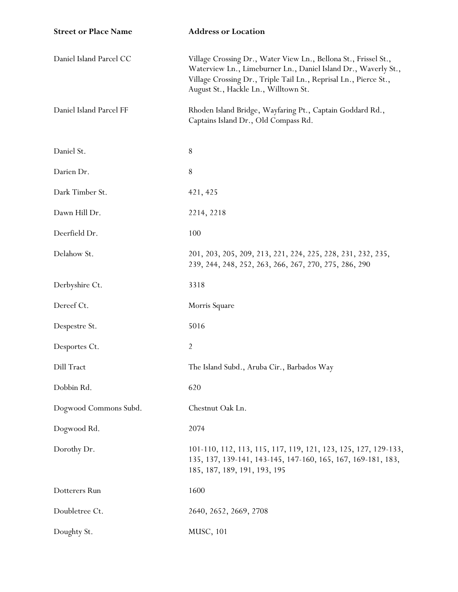| <b>Street or Place Name</b> | <b>Address or Location</b>                                                                                                                                                                                                                    |
|-----------------------------|-----------------------------------------------------------------------------------------------------------------------------------------------------------------------------------------------------------------------------------------------|
| Daniel Island Parcel CC     | Village Crossing Dr., Water View Ln., Bellona St., Frissel St.,<br>Waterview Ln., Limeburner Ln., Daniel Island Dr., Waverly St.,<br>Village Crossing Dr., Triple Tail Ln., Reprisal Ln., Pierce St.,<br>August St., Hackle Ln., Willtown St. |
| Daniel Island Parcel FF     | Rhoden Island Bridge, Wayfaring Pt., Captain Goddard Rd.,<br>Captains Island Dr., Old Compass Rd.                                                                                                                                             |
| Daniel St.                  | 8                                                                                                                                                                                                                                             |
| Darien Dr.                  | 8                                                                                                                                                                                                                                             |
| Dark Timber St.             | 421, 425                                                                                                                                                                                                                                      |
| Dawn Hill Dr.               | 2214, 2218                                                                                                                                                                                                                                    |
| Deerfield Dr.               | 100                                                                                                                                                                                                                                           |
| Delahow St.                 | 201, 203, 205, 209, 213, 221, 224, 225, 228, 231, 232, 235,<br>239, 244, 248, 252, 263, 266, 267, 270, 275, 286, 290                                                                                                                          |
| Derbyshire Ct.              | 3318                                                                                                                                                                                                                                          |
| Dereef Ct.                  | Morris Square                                                                                                                                                                                                                                 |
| Despestre St.               | 5016                                                                                                                                                                                                                                          |
| Desportes Ct.               | $\overline{2}$                                                                                                                                                                                                                                |
| Dill Tract                  | The Island Subd., Aruba Cir., Barbados Way                                                                                                                                                                                                    |
| Dobbin Rd.                  | 620                                                                                                                                                                                                                                           |
| Dogwood Commons Subd.       | Chestnut Oak Ln.                                                                                                                                                                                                                              |
| Dogwood Rd.                 | 2074                                                                                                                                                                                                                                          |
| Dorothy Dr.                 | 101-110, 112, 113, 115, 117, 119, 121, 123, 125, 127, 129-133,<br>135, 137, 139-141, 143-145, 147-160, 165, 167, 169-181, 183,<br>185, 187, 189, 191, 193, 195                                                                                |
| Dotterers Run               | 1600                                                                                                                                                                                                                                          |
| Doubletree Ct.              | 2640, 2652, 2669, 2708                                                                                                                                                                                                                        |
| Doughty St.                 | MUSC, 101                                                                                                                                                                                                                                     |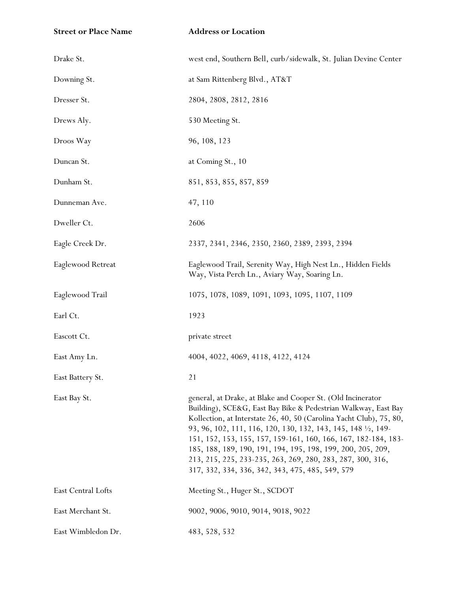**Street or Place Name Address or Location**

| Drake St.          | west end, Southern Bell, curb/sidewalk, St. Julian Devine Center                                                                                                                                                                                                                                                                                                                                                                                                                                                         |
|--------------------|--------------------------------------------------------------------------------------------------------------------------------------------------------------------------------------------------------------------------------------------------------------------------------------------------------------------------------------------------------------------------------------------------------------------------------------------------------------------------------------------------------------------------|
| Downing St.        | at Sam Rittenberg Blvd., AT&T                                                                                                                                                                                                                                                                                                                                                                                                                                                                                            |
| Dresser St.        | 2804, 2808, 2812, 2816                                                                                                                                                                                                                                                                                                                                                                                                                                                                                                   |
| Drews Aly.         | 530 Meeting St.                                                                                                                                                                                                                                                                                                                                                                                                                                                                                                          |
| Droos Way          | 96, 108, 123                                                                                                                                                                                                                                                                                                                                                                                                                                                                                                             |
| Duncan St.         | at Coming St., 10                                                                                                                                                                                                                                                                                                                                                                                                                                                                                                        |
| Dunham St.         | 851, 853, 855, 857, 859                                                                                                                                                                                                                                                                                                                                                                                                                                                                                                  |
| Dunneman Ave.      | 47, 110                                                                                                                                                                                                                                                                                                                                                                                                                                                                                                                  |
| Dweller Ct.        | 2606                                                                                                                                                                                                                                                                                                                                                                                                                                                                                                                     |
| Eagle Creek Dr.    | 2337, 2341, 2346, 2350, 2360, 2389, 2393, 2394                                                                                                                                                                                                                                                                                                                                                                                                                                                                           |
| Eaglewood Retreat  | Eaglewood Trail, Serenity Way, High Nest Ln., Hidden Fields<br>Way, Vista Perch Ln., Aviary Way, Soaring Ln.                                                                                                                                                                                                                                                                                                                                                                                                             |
| Eaglewood Trail    | 1075, 1078, 1089, 1091, 1093, 1095, 1107, 1109                                                                                                                                                                                                                                                                                                                                                                                                                                                                           |
| Earl Ct.           | 1923                                                                                                                                                                                                                                                                                                                                                                                                                                                                                                                     |
| Eascott Ct.        | private street                                                                                                                                                                                                                                                                                                                                                                                                                                                                                                           |
| East Amy Ln.       | 4004, 4022, 4069, 4118, 4122, 4124                                                                                                                                                                                                                                                                                                                                                                                                                                                                                       |
| East Battery St.   | 21                                                                                                                                                                                                                                                                                                                                                                                                                                                                                                                       |
| East Bay St.       | general, at Drake, at Blake and Cooper St. (Old Incinerator<br>Building), SCE&G, East Bay Bike & Pedestrian Walkway, East Bay<br>Kollection, at Interstate 26, 40, 50 (Carolina Yacht Club), 75, 80,<br>93, 96, 102, 111, 116, 120, 130, 132, 143, 145, 148 1/2, 149-<br>151, 152, 153, 155, 157, 159-161, 160, 166, 167, 182-184, 183-<br>185, 188, 189, 190, 191, 194, 195, 198, 199, 200, 205, 209,<br>213, 215, 225, 233-235, 263, 269, 280, 283, 287, 300, 316,<br>317, 332, 334, 336, 342, 343, 475, 485, 549, 579 |
| East Central Lofts | Meeting St., Huger St., SCDOT                                                                                                                                                                                                                                                                                                                                                                                                                                                                                            |
| East Merchant St.  | 9002, 9006, 9010, 9014, 9018, 9022                                                                                                                                                                                                                                                                                                                                                                                                                                                                                       |
| East Wimbledon Dr. | 483, 528, 532                                                                                                                                                                                                                                                                                                                                                                                                                                                                                                            |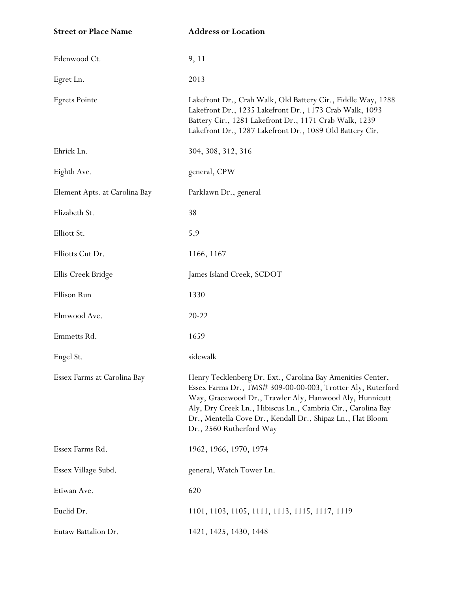| <b>Street or Place Name</b>   | <b>Address or Location</b>                                                                                                                                                                                                                                                                                                                      |
|-------------------------------|-------------------------------------------------------------------------------------------------------------------------------------------------------------------------------------------------------------------------------------------------------------------------------------------------------------------------------------------------|
| Edenwood Ct.                  | 9, 11                                                                                                                                                                                                                                                                                                                                           |
| Egret Ln.                     | 2013                                                                                                                                                                                                                                                                                                                                            |
| <b>Egrets Pointe</b>          | Lakefront Dr., Crab Walk, Old Battery Cir., Fiddle Way, 1288<br>Lakefront Dr., 1235 Lakefront Dr., 1173 Crab Walk, 1093<br>Battery Cir., 1281 Lakefront Dr., 1171 Crab Walk, 1239<br>Lakefront Dr., 1287 Lakefront Dr., 1089 Old Battery Cir.                                                                                                   |
| Ehrick Ln.                    | 304, 308, 312, 316                                                                                                                                                                                                                                                                                                                              |
| Eighth Ave.                   | general, CPW                                                                                                                                                                                                                                                                                                                                    |
| Element Apts. at Carolina Bay | Parklawn Dr., general                                                                                                                                                                                                                                                                                                                           |
| Elizabeth St.                 | 38                                                                                                                                                                                                                                                                                                                                              |
| Elliott St.                   | 5,9                                                                                                                                                                                                                                                                                                                                             |
| Elliotts Cut Dr.              | 1166, 1167                                                                                                                                                                                                                                                                                                                                      |
| Ellis Creek Bridge            | James Island Creek, SCDOT                                                                                                                                                                                                                                                                                                                       |
| Ellison Run                   | 1330                                                                                                                                                                                                                                                                                                                                            |
| Elmwood Ave.                  | $20 - 22$                                                                                                                                                                                                                                                                                                                                       |
| Emmetts Rd.                   | 1659                                                                                                                                                                                                                                                                                                                                            |
| Engel St.                     | sidewalk                                                                                                                                                                                                                                                                                                                                        |
| Essex Farms at Carolina Bay   | Henry Tecklenberg Dr. Ext., Carolina Bay Amenities Center,<br>Essex Farms Dr., TMS# 309-00-00-003, Trotter Aly, Ruterford<br>Way, Gracewood Dr., Trawler Aly, Hanwood Aly, Hunnicutt<br>Aly, Dry Creek Ln., Hibiscus Ln., Cambria Cir., Carolina Bay<br>Dr., Mentella Cove Dr., Kendall Dr., Shipaz Ln., Flat Bloom<br>Dr., 2560 Rutherford Way |
| Essex Farms Rd.               | 1962, 1966, 1970, 1974                                                                                                                                                                                                                                                                                                                          |
| Essex Village Subd.           | general, Watch Tower Ln.                                                                                                                                                                                                                                                                                                                        |
| Etiwan Ave.                   | 620                                                                                                                                                                                                                                                                                                                                             |
| Euclid Dr.                    | 1101, 1103, 1105, 1111, 1113, 1115, 1117, 1119                                                                                                                                                                                                                                                                                                  |
| Eutaw Battalion Dr.           | 1421, 1425, 1430, 1448                                                                                                                                                                                                                                                                                                                          |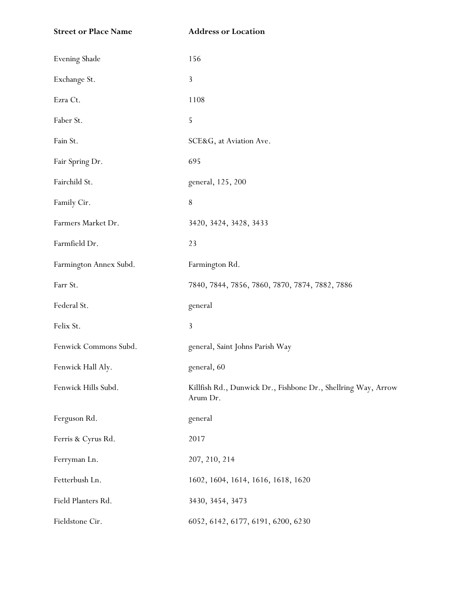| <b>Street or Place Name</b> | <b>Address or Location</b>                                                |
|-----------------------------|---------------------------------------------------------------------------|
| <b>Evening Shade</b>        | 156                                                                       |
| Exchange St.                | 3                                                                         |
| Ezra Ct.                    | 1108                                                                      |
| Faber St.                   | 5                                                                         |
| Fain St.                    | SCE&G, at Aviation Ave.                                                   |
| Fair Spring Dr.             | 695                                                                       |
| Fairchild St.               | general, 125, 200                                                         |
| Family Cir.                 | $8\,$                                                                     |
| Farmers Market Dr.          | 3420, 3424, 3428, 3433                                                    |
| Farmfield Dr.               | 23                                                                        |
| Farmington Annex Subd.      | Farmington Rd.                                                            |
| Farr St.                    | 7840, 7844, 7856, 7860, 7870, 7874, 7882, 7886                            |
| Federal St.                 | general                                                                   |
| Felix St.                   | 3                                                                         |
| Fenwick Commons Subd.       | general, Saint Johns Parish Way                                           |
| Fenwick Hall Aly.           | general, 60                                                               |
| Fenwick Hills Subd.         | Killfish Rd., Dunwick Dr., Fishbone Dr., Shellring Way, Arrow<br>Arum Dr. |
| Ferguson Rd.                | general                                                                   |
| Ferris & Cyrus Rd.          | 2017                                                                      |
| Ferryman Ln.                | 207, 210, 214                                                             |
| Fetterbush Ln.              | 1602, 1604, 1614, 1616, 1618, 1620                                        |
| Field Planters Rd.          | 3430, 3454, 3473                                                          |
| Fieldstone Cir.             | 6052, 6142, 6177, 6191, 6200, 6230                                        |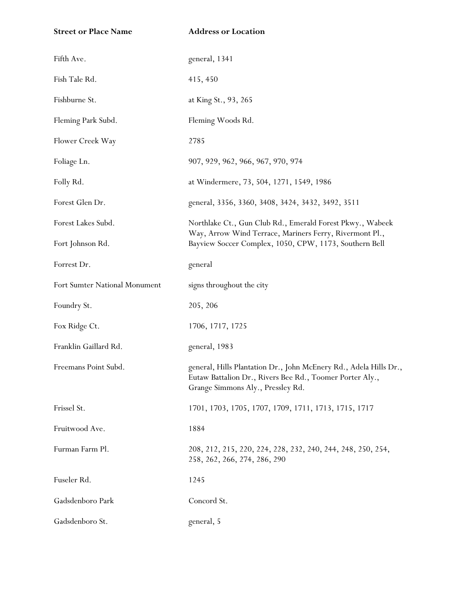| <b>Street or Place Name</b>   | <b>Address or Location</b>                                                                                                                                         |
|-------------------------------|--------------------------------------------------------------------------------------------------------------------------------------------------------------------|
| Fifth Ave.                    | general, 1341                                                                                                                                                      |
| Fish Tale Rd.                 | 415, 450                                                                                                                                                           |
| Fishburne St.                 | at King St., 93, 265                                                                                                                                               |
| Fleming Park Subd.            | Fleming Woods Rd.                                                                                                                                                  |
| Flower Creek Way              | 2785                                                                                                                                                               |
| Foliage Ln.                   | 907, 929, 962, 966, 967, 970, 974                                                                                                                                  |
| Folly Rd.                     | at Windermere, 73, 504, 1271, 1549, 1986                                                                                                                           |
| Forest Glen Dr.               | general, 3356, 3360, 3408, 3424, 3432, 3492, 3511                                                                                                                  |
| Forest Lakes Subd.            | Northlake Ct., Gun Club Rd., Emerald Forest Pkwy., Wabeek                                                                                                          |
| Fort Johnson Rd.              | Way, Arrow Wind Terrace, Mariners Ferry, Rivermont Pl.,<br>Bayview Soccer Complex, 1050, CPW, 1173, Southern Bell                                                  |
| Forrest Dr.                   | general                                                                                                                                                            |
| Fort Sumter National Monument | signs throughout the city                                                                                                                                          |
| Foundry St.                   | 205, 206                                                                                                                                                           |
| Fox Ridge Ct.                 | 1706, 1717, 1725                                                                                                                                                   |
| Franklin Gaillard Rd.         | general, 1983                                                                                                                                                      |
| Freemans Point Subd.          | general, Hills Plantation Dr., John McEnery Rd., Adela Hills Dr.,<br>Eutaw Battalion Dr., Rivers Bee Rd., Toomer Porter Aly.,<br>Grange Simmons Aly., Pressley Rd. |
| Frissel St.                   | 1701, 1703, 1705, 1707, 1709, 1711, 1713, 1715, 1717                                                                                                               |
| Fruitwood Ave.                | 1884                                                                                                                                                               |
| Furman Farm Pl.               | 208, 212, 215, 220, 224, 228, 232, 240, 244, 248, 250, 254,<br>258, 262, 266, 274, 286, 290                                                                        |
| Fuseler Rd.                   | 1245                                                                                                                                                               |
| Gadsdenboro Park              | Concord St.                                                                                                                                                        |
| Gadsdenboro St.               | general, 5                                                                                                                                                         |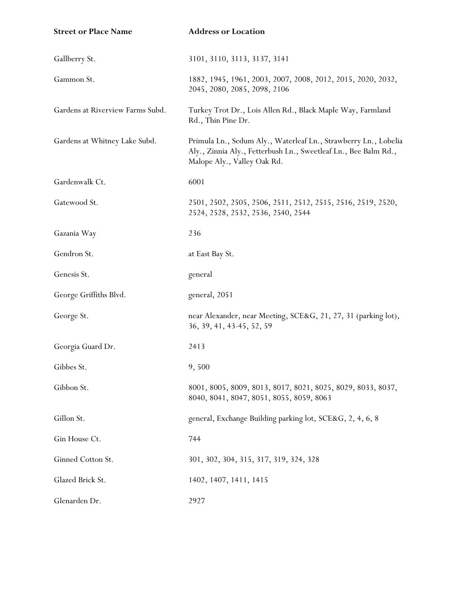| <b>Street or Place Name</b>      | <b>Address or Location</b>                                                                                                                                        |
|----------------------------------|-------------------------------------------------------------------------------------------------------------------------------------------------------------------|
| Gallberry St.                    | 3101, 3110, 3113, 3137, 3141                                                                                                                                      |
| Gammon St.                       | 1882, 1945, 1961, 2003, 2007, 2008, 2012, 2015, 2020, 2032,<br>2045, 2080, 2085, 2098, 2106                                                                       |
| Gardens at Riverview Farms Subd. | Turkey Trot Dr., Lois Allen Rd., Black Maple Way, Farmland<br>Rd., Thin Pine Dr.                                                                                  |
| Gardens at Whitney Lake Subd.    | Primula Ln., Sedum Aly., Waterleaf Ln., Strawberry Ln., Lobelia<br>Aly., Zinnia Aly., Fetterbush Ln., Sweetleaf Ln., Bee Balm Rd.,<br>Malope Aly., Valley Oak Rd. |
| Gardenwalk Ct.                   | 6001                                                                                                                                                              |
| Gatewood St.                     | 2501, 2502, 2505, 2506, 2511, 2512, 2515, 2516, 2519, 2520,<br>2524, 2528, 2532, 2536, 2540, 2544                                                                 |
| Gazania Way                      | 236                                                                                                                                                               |
| Gendron St.                      | at East Bay St.                                                                                                                                                   |
| Genesis St.                      | general                                                                                                                                                           |
| George Griffiths Blvd.           | general, 2051                                                                                                                                                     |
| George St.                       | near Alexander, near Meeting, SCE&G, 21, 27, 31 (parking lot),<br>36, 39, 41, 43-45, 52, 59                                                                       |
| Georgia Guard Dr.                | 2413                                                                                                                                                              |
| Gibbes St.                       | 9,500                                                                                                                                                             |
| Gibbon St.                       | 8001, 8005, 8009, 8013, 8017, 8021, 8025, 8029, 8033, 8037,<br>8040, 8041, 8047, 8051, 8055, 8059, 8063                                                           |
| Gillon St.                       | general, Exchange Building parking lot, SCE&G, 2, 4, 6, 8                                                                                                         |
| Gin House Ct.                    | 744                                                                                                                                                               |
| Ginned Cotton St.                | 301, 302, 304, 315, 317, 319, 324, 328                                                                                                                            |
| Glazed Brick St.                 | 1402, 1407, 1411, 1415                                                                                                                                            |
| Glenarden Dr.                    | 2927                                                                                                                                                              |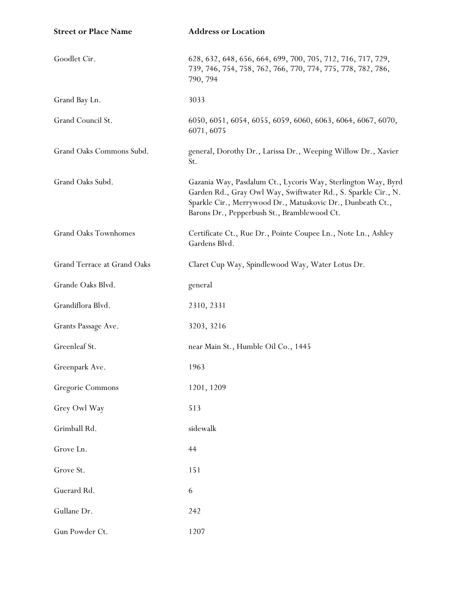| <b>Street or Place Name</b> | <b>Address or Location</b>                                                                                                                                                                                                                  |
|-----------------------------|---------------------------------------------------------------------------------------------------------------------------------------------------------------------------------------------------------------------------------------------|
| Goodlet Cir.                | 628, 632, 648, 656, 664, 699, 700, 705, 712, 716, 717, 729,<br>739, 746, 754, 758, 762, 766, 770, 774, 775, 778, 782, 786,<br>790, 794                                                                                                      |
| Grand Bay Ln.               | 3033                                                                                                                                                                                                                                        |
| Grand Council St.           | 6050, 6051, 6054, 6055, 6059, 6060, 6063, 6064, 6067, 6070,<br>6071, 6075                                                                                                                                                                   |
| Grand Oaks Commons Subd.    | general, Dorothy Dr., Larissa Dr., Weeping Willow Dr., Xavier<br>St.                                                                                                                                                                        |
| Grand Oaks Subd.            | Gazania Way, Pasdalum Ct., Lycoris Way, Sterlington Way, Byrd<br>Garden Rd., Gray Owl Way, Swiftwater Rd., S. Sparkle Cir., N.<br>Sparkle Cir., Merrywood Dr., Matuskovic Dr., Dunbeath Ct.,<br>Barons Dr., Pepperbush St., Bramblewood Ct. |
| Grand Oaks Townhomes        | Certificate Ct., Rue Dr., Pointe Coupee Ln., Note Ln., Ashley<br>Gardens Blvd.                                                                                                                                                              |
| Grand Terrace at Grand Oaks | Claret Cup Way, Spindlewood Way, Water Lotus Dr.                                                                                                                                                                                            |
| Grande Oaks Blvd.           | general                                                                                                                                                                                                                                     |
| Grandiflora Blvd.           | 2310, 2331                                                                                                                                                                                                                                  |
| Grants Passage Ave.         | 3203, 3216                                                                                                                                                                                                                                  |
| Greenleaf St.               | near Main St., Humble Oil Co., 1445                                                                                                                                                                                                         |
| Greenpark Ave.              | 1963                                                                                                                                                                                                                                        |
| Gregorie Commons            | 1201, 1209                                                                                                                                                                                                                                  |
| Grey Owl Way                | 513                                                                                                                                                                                                                                         |
| Grimball Rd.                | sidewalk                                                                                                                                                                                                                                    |
| Grove Ln.                   | 44                                                                                                                                                                                                                                          |
| Grove St.                   | 151                                                                                                                                                                                                                                         |
| Guerard Rd.                 | 6                                                                                                                                                                                                                                           |
| Gullane Dr.                 | 242                                                                                                                                                                                                                                         |
| Gun Powder Ct.              | 1207                                                                                                                                                                                                                                        |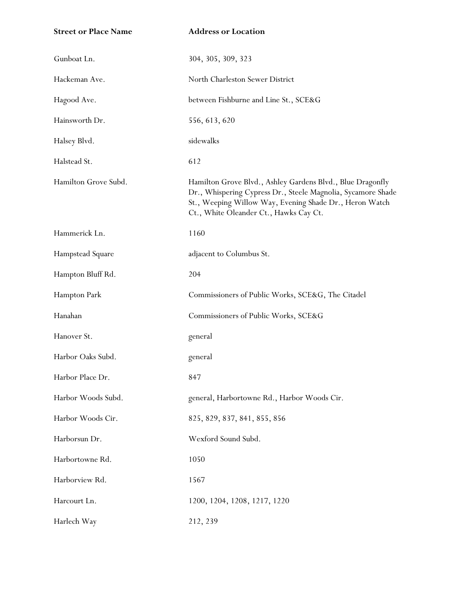| <b>Street or Place Name</b> | <b>Address or Location</b>                                                                                                                                                                                                      |
|-----------------------------|---------------------------------------------------------------------------------------------------------------------------------------------------------------------------------------------------------------------------------|
| Gunboat Ln.                 | 304, 305, 309, 323                                                                                                                                                                                                              |
| Hackeman Ave.               | North Charleston Sewer District                                                                                                                                                                                                 |
| Hagood Ave.                 | between Fishburne and Line St., SCE&G                                                                                                                                                                                           |
| Hainsworth Dr.              | 556, 613, 620                                                                                                                                                                                                                   |
| Halsey Blvd.                | sidewalks                                                                                                                                                                                                                       |
| Halstead St.                | 612                                                                                                                                                                                                                             |
| Hamilton Grove Subd.        | Hamilton Grove Blvd., Ashley Gardens Blvd., Blue Dragonfly<br>Dr., Whispering Cypress Dr., Steele Magnolia, Sycamore Shade<br>St., Weeping Willow Way, Evening Shade Dr., Heron Watch<br>Ct., White Oleander Ct., Hawks Cay Ct. |
| Hammerick Ln.               | 1160                                                                                                                                                                                                                            |
| Hampstead Square            | adjacent to Columbus St.                                                                                                                                                                                                        |
| Hampton Bluff Rd.           | 204                                                                                                                                                                                                                             |
| Hampton Park                | Commissioners of Public Works, SCE&G, The Citadel                                                                                                                                                                               |
| Hanahan                     | Commissioners of Public Works, SCE&G                                                                                                                                                                                            |
| Hanover St.                 | general                                                                                                                                                                                                                         |
| Harbor Oaks Subd.           | general                                                                                                                                                                                                                         |
| Harbor Place Dr.            | 847                                                                                                                                                                                                                             |
| Harbor Woods Subd.          | general, Harbortowne Rd., Harbor Woods Cir.                                                                                                                                                                                     |
| Harbor Woods Cir.           | 825, 829, 837, 841, 855, 856                                                                                                                                                                                                    |
| Harborsun Dr.               | Wexford Sound Subd.                                                                                                                                                                                                             |
| Harbortowne Rd.             | 1050                                                                                                                                                                                                                            |
| Harborview Rd.              | 1567                                                                                                                                                                                                                            |
| Harcourt Ln.                | 1200, 1204, 1208, 1217, 1220                                                                                                                                                                                                    |
| Harlech Way                 | 212, 239                                                                                                                                                                                                                        |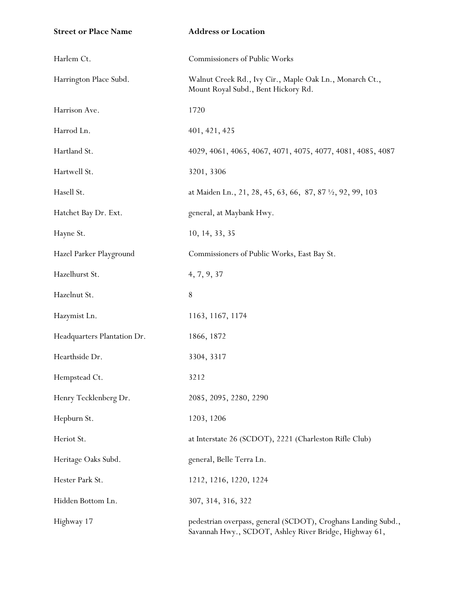| <b>Street or Place Name</b> | <b>Address or Location</b>                                                                                              |
|-----------------------------|-------------------------------------------------------------------------------------------------------------------------|
| Harlem Ct.                  | Commissioners of Public Works                                                                                           |
| Harrington Place Subd.      | Walnut Creek Rd., Ivy Cir., Maple Oak Ln., Monarch Ct.,<br>Mount Royal Subd., Bent Hickory Rd.                          |
| Harrison Ave.               | 1720                                                                                                                    |
| Harrod Ln.                  | 401, 421, 425                                                                                                           |
| Hartland St.                | 4029, 4061, 4065, 4067, 4071, 4075, 4077, 4081, 4085, 4087                                                              |
| Hartwell St.                | 3201, 3306                                                                                                              |
| Hasell St.                  | at Maiden Ln., 21, 28, 45, 63, 66, 87, 87 1/2, 92, 99, 103                                                              |
| Hatchet Bay Dr. Ext.        | general, at Maybank Hwy.                                                                                                |
| Hayne St.                   | 10, 14, 33, 35                                                                                                          |
| Hazel Parker Playground     | Commissioners of Public Works, East Bay St.                                                                             |
| Hazelhurst St.              | 4, 7, 9, 37                                                                                                             |
| Hazelnut St.                | $8\,$                                                                                                                   |
| Hazymist Ln.                | 1163, 1167, 1174                                                                                                        |
| Headquarters Plantation Dr. | 1866, 1872                                                                                                              |
| Hearthside Dr.              | 3304, 3317                                                                                                              |
| Hempstead Ct.               | 3212                                                                                                                    |
| Henry Tecklenberg Dr.       | 2085, 2095, 2280, 2290                                                                                                  |
| Hepburn St.                 | 1203, 1206                                                                                                              |
| Heriot St.                  | at Interstate 26 (SCDOT), 2221 (Charleston Rifle Club)                                                                  |
| Heritage Oaks Subd.         | general, Belle Terra Ln.                                                                                                |
| Hester Park St.             | 1212, 1216, 1220, 1224                                                                                                  |
| Hidden Bottom Ln.           | 307, 314, 316, 322                                                                                                      |
| Highway 17                  | pedestrian overpass, general (SCDOT), Croghans Landing Subd.,<br>Savannah Hwy., SCDOT, Ashley River Bridge, Highway 61, |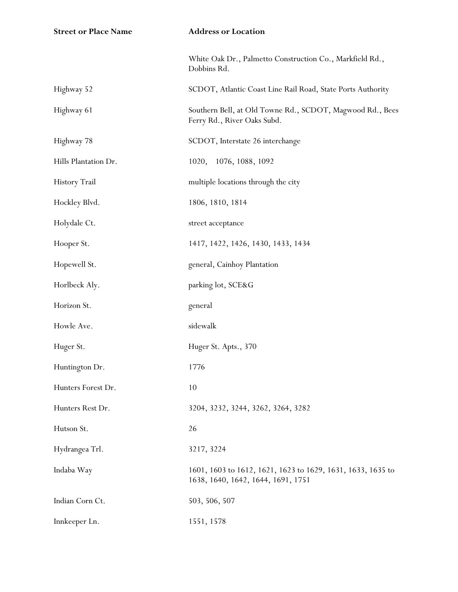| <b>Street or Place Name</b> | <b>Address or Location</b>                                                                        |
|-----------------------------|---------------------------------------------------------------------------------------------------|
|                             | White Oak Dr., Palmetto Construction Co., Markfield Rd.,<br>Dobbins Rd.                           |
| Highway 52                  | SCDOT, Atlantic Coast Line Rail Road, State Ports Authority                                       |
| Highway 61                  | Southern Bell, at Old Towne Rd., SCDOT, Magwood Rd., Bees<br>Ferry Rd., River Oaks Subd.          |
| Highway 78                  | SCDOT, Interstate 26 interchange                                                                  |
| Hills Plantation Dr.        | 1020, 1076, 1088, 1092                                                                            |
| <b>History Trail</b>        | multiple locations through the city                                                               |
| Hockley Blvd.               | 1806, 1810, 1814                                                                                  |
| Holydale Ct.                | street acceptance                                                                                 |
| Hooper St.                  | 1417, 1422, 1426, 1430, 1433, 1434                                                                |
| Hopewell St.                | general, Cainhoy Plantation                                                                       |
| Horlbeck Aly.               | parking lot, SCE&G                                                                                |
| Horizon St.                 | general                                                                                           |
| Howle Ave.                  | sidewalk                                                                                          |
| Huger St.                   | Huger St. Apts., 370                                                                              |
| Huntington Dr.              | 1776                                                                                              |
| Hunters Forest Dr.          | 10                                                                                                |
| Hunters Rest Dr.            | 3204, 3232, 3244, 3262, 3264, 3282                                                                |
| Hutson St.                  | 26                                                                                                |
| Hydrangea Trl.              | 3217, 3224                                                                                        |
| Indaba Way                  | 1601, 1603 to 1612, 1621, 1623 to 1629, 1631, 1633, 1635 to<br>1638, 1640, 1642, 1644, 1691, 1751 |
| Indian Corn Ct.             | 503, 506, 507                                                                                     |
| Innkeeper Ln.               | 1551, 1578                                                                                        |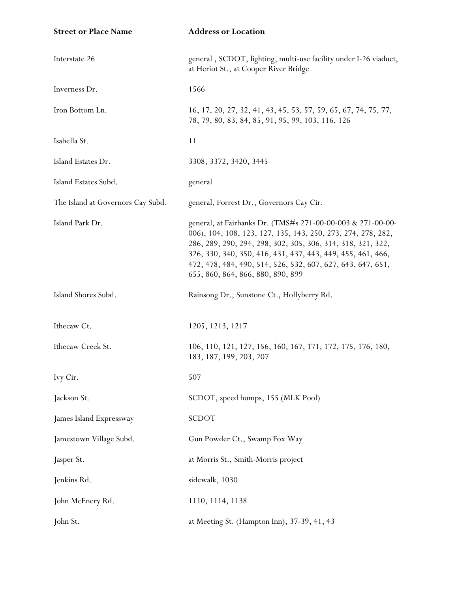| <b>Street or Place Name</b>       | <b>Address or Location</b>                                                                                                                                                                                                                                                                                                                                    |
|-----------------------------------|---------------------------------------------------------------------------------------------------------------------------------------------------------------------------------------------------------------------------------------------------------------------------------------------------------------------------------------------------------------|
| Interstate 26                     | general, SCDOT, lighting, multi-use facility under I-26 viaduct,<br>at Heriot St., at Cooper River Bridge                                                                                                                                                                                                                                                     |
| Inverness Dr.                     | 1566                                                                                                                                                                                                                                                                                                                                                          |
| Iron Bottom Ln.                   | 16, 17, 20, 27, 32, 41, 43, 45, 53, 57, 59, 65, 67, 74, 75, 77,<br>78, 79, 80, 83, 84, 85, 91, 95, 99, 103, 116, 126                                                                                                                                                                                                                                          |
| Isabella St.                      | 11                                                                                                                                                                                                                                                                                                                                                            |
| Island Estates Dr.                | 3308, 3372, 3420, 3445                                                                                                                                                                                                                                                                                                                                        |
| Island Estates Subd.              | general                                                                                                                                                                                                                                                                                                                                                       |
| The Island at Governors Cay Subd. | general, Forrest Dr., Governors Cay Cir.                                                                                                                                                                                                                                                                                                                      |
| Island Park Dr.                   | general, at Fairbanks Dr. (TMS#s 271-00-00-003 & 271-00-00-<br>006), 104, 108, 123, 127, 135, 143, 250, 273, 274, 278, 282,<br>286, 289, 290, 294, 298, 302, 305, 306, 314, 318, 321, 322,<br>326, 330, 340, 350, 416, 431, 437, 443, 449, 455, 461, 466,<br>472, 478, 484, 490, 514, 526, 532, 607, 627, 643, 647, 651,<br>655, 860, 864, 866, 880, 890, 899 |
| Island Shores Subd.               | Rainsong Dr., Sunstone Ct., Hollyberry Rd.                                                                                                                                                                                                                                                                                                                    |
| Ithecaw Ct.                       | 1205, 1213, 1217                                                                                                                                                                                                                                                                                                                                              |
| Ithecaw Creek St.                 | 106, 110, 121, 127, 156, 160, 167, 171, 172, 175, 176, 180,<br>183, 187, 199, 203, 207                                                                                                                                                                                                                                                                        |
| Ivy Cir.                          | 507                                                                                                                                                                                                                                                                                                                                                           |
| Jackson St.                       | SCDOT, speed humps, 155 (MLK Pool)                                                                                                                                                                                                                                                                                                                            |
| James Island Expressway           | SCDOT                                                                                                                                                                                                                                                                                                                                                         |
| Jamestown Village Subd.           | Gun Powder Ct., Swamp Fox Way                                                                                                                                                                                                                                                                                                                                 |
| Jasper St.                        | at Morris St., Smith-Morris project                                                                                                                                                                                                                                                                                                                           |
| Jenkins Rd.                       | sidewalk, 1030                                                                                                                                                                                                                                                                                                                                                |
| John McEnery Rd.                  | 1110, 1114, 1138                                                                                                                                                                                                                                                                                                                                              |
| John St.                          | at Meeting St. (Hampton Inn), 37-39, 41, 43                                                                                                                                                                                                                                                                                                                   |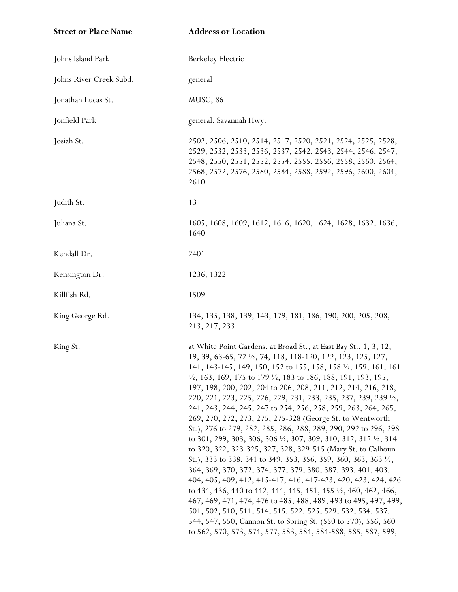| <b>Street or Place Name</b> | <b>Address or Location</b>                                                                                                                                                                                                                                                                                                                                                                                                                                                                                                                                                                                                                                                                                                                                                                                                                                                                                                                                                                                                                                                                                                                                                                                                                                                                                                                                  |
|-----------------------------|-------------------------------------------------------------------------------------------------------------------------------------------------------------------------------------------------------------------------------------------------------------------------------------------------------------------------------------------------------------------------------------------------------------------------------------------------------------------------------------------------------------------------------------------------------------------------------------------------------------------------------------------------------------------------------------------------------------------------------------------------------------------------------------------------------------------------------------------------------------------------------------------------------------------------------------------------------------------------------------------------------------------------------------------------------------------------------------------------------------------------------------------------------------------------------------------------------------------------------------------------------------------------------------------------------------------------------------------------------------|
| Johns Island Park           | Berkeley Electric                                                                                                                                                                                                                                                                                                                                                                                                                                                                                                                                                                                                                                                                                                                                                                                                                                                                                                                                                                                                                                                                                                                                                                                                                                                                                                                                           |
| Johns River Creek Subd.     | general                                                                                                                                                                                                                                                                                                                                                                                                                                                                                                                                                                                                                                                                                                                                                                                                                                                                                                                                                                                                                                                                                                                                                                                                                                                                                                                                                     |
| Jonathan Lucas St.          | MUSC, 86                                                                                                                                                                                                                                                                                                                                                                                                                                                                                                                                                                                                                                                                                                                                                                                                                                                                                                                                                                                                                                                                                                                                                                                                                                                                                                                                                    |
| Jonfield Park               | general, Savannah Hwy.                                                                                                                                                                                                                                                                                                                                                                                                                                                                                                                                                                                                                                                                                                                                                                                                                                                                                                                                                                                                                                                                                                                                                                                                                                                                                                                                      |
| Josiah St.                  | 2502, 2506, 2510, 2514, 2517, 2520, 2521, 2524, 2525, 2528,<br>2529, 2532, 2533, 2536, 2537, 2542, 2543, 2544, 2546, 2547,<br>2548, 2550, 2551, 2552, 2554, 2555, 2556, 2558, 2560, 2564,<br>2568, 2572, 2576, 2580, 2584, 2588, 2592, 2596, 2600, 2604,<br>2610                                                                                                                                                                                                                                                                                                                                                                                                                                                                                                                                                                                                                                                                                                                                                                                                                                                                                                                                                                                                                                                                                            |
| Judith St.                  | 13                                                                                                                                                                                                                                                                                                                                                                                                                                                                                                                                                                                                                                                                                                                                                                                                                                                                                                                                                                                                                                                                                                                                                                                                                                                                                                                                                          |
| Juliana St.                 | 1605, 1608, 1609, 1612, 1616, 1620, 1624, 1628, 1632, 1636,<br>1640                                                                                                                                                                                                                                                                                                                                                                                                                                                                                                                                                                                                                                                                                                                                                                                                                                                                                                                                                                                                                                                                                                                                                                                                                                                                                         |
| Kendall Dr.                 | 2401                                                                                                                                                                                                                                                                                                                                                                                                                                                                                                                                                                                                                                                                                                                                                                                                                                                                                                                                                                                                                                                                                                                                                                                                                                                                                                                                                        |
| Kensington Dr.              | 1236, 1322                                                                                                                                                                                                                                                                                                                                                                                                                                                                                                                                                                                                                                                                                                                                                                                                                                                                                                                                                                                                                                                                                                                                                                                                                                                                                                                                                  |
| Killfish Rd.                | 1509                                                                                                                                                                                                                                                                                                                                                                                                                                                                                                                                                                                                                                                                                                                                                                                                                                                                                                                                                                                                                                                                                                                                                                                                                                                                                                                                                        |
| King George Rd.             | 134, 135, 138, 139, 143, 179, 181, 186, 190, 200, 205, 208,<br>213, 217, 233                                                                                                                                                                                                                                                                                                                                                                                                                                                                                                                                                                                                                                                                                                                                                                                                                                                                                                                                                                                                                                                                                                                                                                                                                                                                                |
| King St.                    | at White Point Gardens, at Broad St., at East Bay St., 1, 3, 12,<br>19, 39, 63-65, 72 $\frac{1}{2}$ , 74, 118, 118-120, 122, 123, 125, 127,<br>141, 143-145, 149, 150, 152 to 155, 158, 158 1/2, 159, 161, 161<br>$\frac{1}{2}$ , 163, 169, 175 to 179 $\frac{1}{2}$ , 183 to 186, 188, 191, 193, 195,<br>197, 198, 200, 202, 204 to 206, 208, 211, 212, 214, 216, 218,<br>220, 221, 223, 225, 226, 229, 231, 233, 235, 237, 239, 239 1/2,<br>241, 243, 244, 245, 247 to 254, 256, 258, 259, 263, 264, 265,<br>269, 270, 272, 273, 275, 275-328 (George St. to Wentworth<br>St.), 276 to 279, 282, 285, 286, 288, 289, 290, 292 to 296, 298<br>to 301, 299, 303, 306, 306 $\frac{1}{2}$ , 307, 309, 310, 312, 312 $\frac{1}{2}$ , 314<br>to 320, 322, 323-325, 327, 328, 329-515 (Mary St. to Calhoun<br>St.), 333 to 338, 341 to 349, 353, 356, 359, 360, 363, 363 1/2,<br>364, 369, 370, 372, 374, 377, 379, 380, 387, 393, 401, 403,<br>404, 405, 409, 412, 415-417, 416, 417-423, 420, 423, 424, 426<br>to 434, 436, 440 to 442, 444, 445, 451, 455 $\frac{1}{2}$ , 460, 462, 466,<br>467, 469, 471, 474, 476 to 485, 488, 489, 493 to 495, 497, 499,<br>501, 502, 510, 511, 514, 515, 522, 525, 529, 532, 534, 537,<br>544, 547, 550, Cannon St. to Spring St. (550 to 570), 556, 560<br>to 562, 570, 573, 574, 577, 583, 584, 584-588, 585, 587, 599, |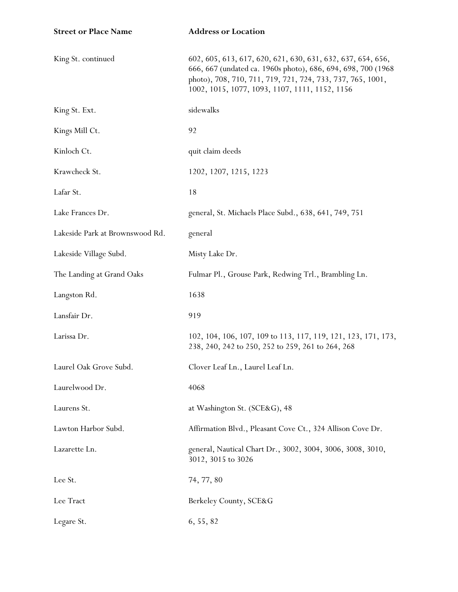| <b>Street or Place Name</b>     | <b>Address or Location</b>                                                                                                                                                                                                                  |
|---------------------------------|---------------------------------------------------------------------------------------------------------------------------------------------------------------------------------------------------------------------------------------------|
| King St. continued              | 602, 605, 613, 617, 620, 621, 630, 631, 632, 637, 654, 656,<br>666, 667 (undated ca. 1960s photo), 686, 694, 698, 700 (1968<br>photo), 708, 710, 711, 719, 721, 724, 733, 737, 765, 1001,<br>1002, 1015, 1077, 1093, 1107, 1111, 1152, 1156 |
| King St. Ext.                   | sidewalks                                                                                                                                                                                                                                   |
| Kings Mill Ct.                  | 92                                                                                                                                                                                                                                          |
| Kinloch Ct.                     | quit claim deeds                                                                                                                                                                                                                            |
| Krawcheck St.                   | 1202, 1207, 1215, 1223                                                                                                                                                                                                                      |
| Lafar St.                       | 18                                                                                                                                                                                                                                          |
| Lake Frances Dr.                | general, St. Michaels Place Subd., 638, 641, 749, 751                                                                                                                                                                                       |
| Lakeside Park at Brownswood Rd. | general                                                                                                                                                                                                                                     |
| Lakeside Village Subd.          | Misty Lake Dr.                                                                                                                                                                                                                              |
| The Landing at Grand Oaks       | Fulmar Pl., Grouse Park, Redwing Trl., Brambling Ln.                                                                                                                                                                                        |
| Langston Rd.                    | 1638                                                                                                                                                                                                                                        |
| Lansfair Dr.                    | 919                                                                                                                                                                                                                                         |
| Larissa Dr.                     | 102, 104, 106, 107, 109 to 113, 117, 119, 121, 123, 171, 173,<br>238, 240, 242 to 250, 252 to 259, 261 to 264, 268                                                                                                                          |
| Laurel Oak Grove Subd.          | Clover Leaf Ln., Laurel Leaf Ln.                                                                                                                                                                                                            |
| Laurelwood Dr.                  | 4068                                                                                                                                                                                                                                        |
| Laurens St.                     | at Washington St. (SCE&G), 48                                                                                                                                                                                                               |
| Lawton Harbor Subd.             | Affirmation Blvd., Pleasant Cove Ct., 324 Allison Cove Dr.                                                                                                                                                                                  |
| Lazarette Ln.                   | general, Nautical Chart Dr., 3002, 3004, 3006, 3008, 3010,<br>3012, 3015 to 3026                                                                                                                                                            |
| Lee St.                         | 74, 77, 80                                                                                                                                                                                                                                  |
| Lee Tract                       | Berkeley County, SCE&G                                                                                                                                                                                                                      |
| Legare St.                      | 6, 55, 82                                                                                                                                                                                                                                   |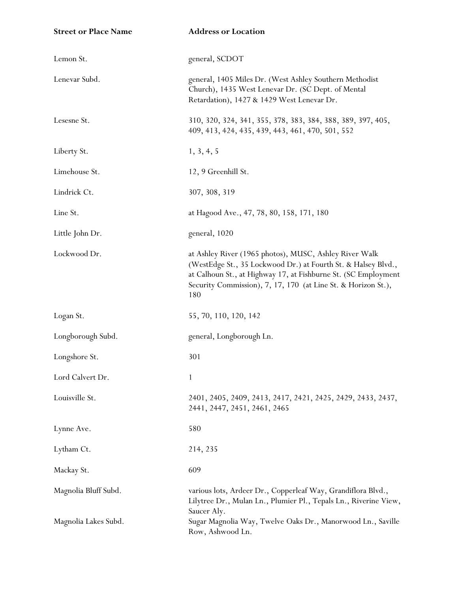| <b>Street or Place Name</b> | <b>Address or Location</b>                                                                                                                                                                                                                                        |
|-----------------------------|-------------------------------------------------------------------------------------------------------------------------------------------------------------------------------------------------------------------------------------------------------------------|
| Lemon St.                   | general, SCDOT                                                                                                                                                                                                                                                    |
| Lenevar Subd.               | general, 1405 Miles Dr. (West Ashley Southern Methodist<br>Church), 1435 West Lenevar Dr. (SC Dept. of Mental<br>Retardation), 1427 & 1429 West Lenevar Dr.                                                                                                       |
| Lesesne St.                 | 310, 320, 324, 341, 355, 378, 383, 384, 388, 389, 397, 405,<br>409, 413, 424, 435, 439, 443, 461, 470, 501, 552                                                                                                                                                   |
| Liberty St.                 | 1, 3, 4, 5                                                                                                                                                                                                                                                        |
| Limehouse St.               | 12, 9 Greenhill St.                                                                                                                                                                                                                                               |
| Lindrick Ct.                | 307, 308, 319                                                                                                                                                                                                                                                     |
| Line St.                    | at Hagood Ave., 47, 78, 80, 158, 171, 180                                                                                                                                                                                                                         |
| Little John Dr.             | general, 1020                                                                                                                                                                                                                                                     |
| Lockwood Dr.                | at Ashley River (1965 photos), MUSC, Ashley River Walk<br>(WestEdge St., 35 Lockwood Dr.) at Fourth St. & Halsey Blvd.,<br>at Calhoun St., at Highway 17, at Fishburne St. (SC Employment<br>Security Commission), 7, 17, 170 (at Line St. & Horizon St.),<br>180 |
| Logan St.                   | 55, 70, 110, 120, 142                                                                                                                                                                                                                                             |
| Longborough Subd.           | general, Longborough Ln.                                                                                                                                                                                                                                          |
| Longshore St.               | 301                                                                                                                                                                                                                                                               |
| Lord Calvert Dr.            | 1                                                                                                                                                                                                                                                                 |
| Louisville St.              | 2401, 2405, 2409, 2413, 2417, 2421, 2425, 2429, 2433, 2437,<br>2441, 2447, 2451, 2461, 2465                                                                                                                                                                       |
| Lynne Ave.                  | 580                                                                                                                                                                                                                                                               |
| Lytham Ct.                  | 214, 235                                                                                                                                                                                                                                                          |
| Mackay St.                  | 609                                                                                                                                                                                                                                                               |
| Magnolia Bluff Subd.        | various lots, Ardeer Dr., Copperleaf Way, Grandiflora Blvd.,<br>Lilytree Dr., Mulan Ln., Plumier Pl., Tepals Ln., Riverine View,<br>Saucer Aly.                                                                                                                   |
| Magnolia Lakes Subd.        | Sugar Magnolia Way, Twelve Oaks Dr., Manorwood Ln., Saville<br>Row, Ashwood Ln.                                                                                                                                                                                   |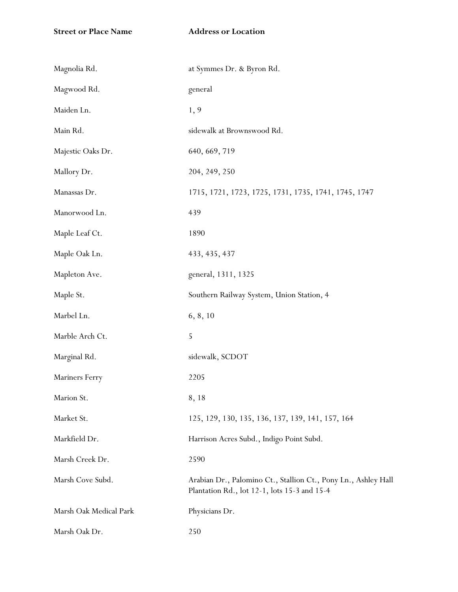| Magnolia Rd.           | at Symmes Dr. & Byron Rd.                                                                                      |
|------------------------|----------------------------------------------------------------------------------------------------------------|
| Magwood Rd.            | general                                                                                                        |
| Maiden Ln.             | 1, 9                                                                                                           |
| Main Rd.               | sidewalk at Brownswood Rd.                                                                                     |
| Majestic Oaks Dr.      | 640, 669, 719                                                                                                  |
| Mallory Dr.            | 204, 249, 250                                                                                                  |
| Manassas Dr.           | 1715, 1721, 1723, 1725, 1731, 1735, 1741, 1745, 1747                                                           |
| Manorwood Ln.          | 439                                                                                                            |
| Maple Leaf Ct.         | 1890                                                                                                           |
| Maple Oak Ln.          | 433, 435, 437                                                                                                  |
| Mapleton Ave.          | general, 1311, 1325                                                                                            |
| Maple St.              | Southern Railway System, Union Station, 4                                                                      |
| Marbel Ln.             | 6, 8, 10                                                                                                       |
| Marble Arch Ct.        | 5                                                                                                              |
| Marginal Rd.           | sidewalk, SCDOT                                                                                                |
| Mariners Ferry         | 2205                                                                                                           |
| Marion St.             | 8, 18                                                                                                          |
| Market St.             | 125, 129, 130, 135, 136, 137, 139, 141, 157, 164                                                               |
| Markfield Dr.          | Harrison Acres Subd., Indigo Point Subd.                                                                       |
| Marsh Creek Dr.        | 2590                                                                                                           |
| Marsh Cove Subd.       | Arabian Dr., Palomino Ct., Stallion Ct., Pony Ln., Ashley Hall<br>Plantation Rd., lot 12-1, lots 15-3 and 15-4 |
| Marsh Oak Medical Park | Physicians Dr.                                                                                                 |
| Marsh Oak Dr.          | 250                                                                                                            |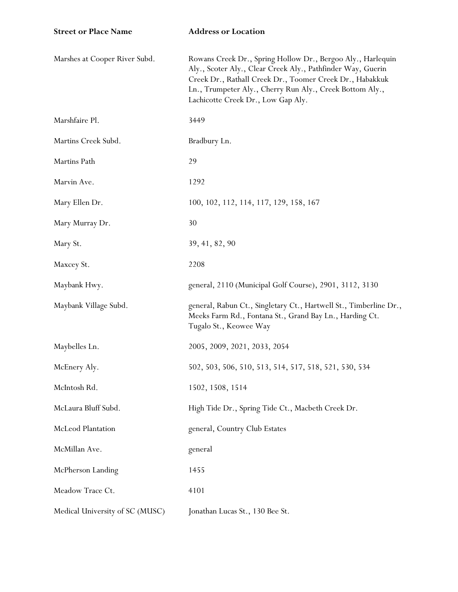| <b>Street or Place Name</b>     | <b>Address or Location</b>                                                                                                                                                                                                                                                               |
|---------------------------------|------------------------------------------------------------------------------------------------------------------------------------------------------------------------------------------------------------------------------------------------------------------------------------------|
| Marshes at Cooper River Subd.   | Rowans Creek Dr., Spring Hollow Dr., Bergoo Aly., Harlequin<br>Aly., Scoter Aly., Clear Creek Aly., Pathfinder Way, Guerin<br>Creek Dr., Rathall Creek Dr., Toomer Creek Dr., Habakkuk<br>Ln., Trumpeter Aly., Cherry Run Aly., Creek Bottom Aly.,<br>Lachicotte Creek Dr., Low Gap Aly. |
| Marshfaire Pl.                  | 3449                                                                                                                                                                                                                                                                                     |
| Martins Creek Subd.             | Bradbury Ln.                                                                                                                                                                                                                                                                             |
| Martins Path                    | 29                                                                                                                                                                                                                                                                                       |
| Marvin Ave.                     | 1292                                                                                                                                                                                                                                                                                     |
| Mary Ellen Dr.                  | 100, 102, 112, 114, 117, 129, 158, 167                                                                                                                                                                                                                                                   |
| Mary Murray Dr.                 | 30                                                                                                                                                                                                                                                                                       |
| Mary St.                        | 39, 41, 82, 90                                                                                                                                                                                                                                                                           |
| Maxcey St.                      | 2208                                                                                                                                                                                                                                                                                     |
| Maybank Hwy.                    | general, 2110 (Municipal Golf Course), 2901, 3112, 3130                                                                                                                                                                                                                                  |
| Maybank Village Subd.           | general, Rabun Ct., Singletary Ct., Hartwell St., Timberline Dr.,<br>Meeks Farm Rd., Fontana St., Grand Bay Ln., Harding Ct.<br>Tugalo St., Keowee Way                                                                                                                                   |
| Maybelles Ln.                   | 2005, 2009, 2021, 2033, 2054                                                                                                                                                                                                                                                             |
| McEnery Aly.                    | 502, 503, 506, 510, 513, 514, 517, 518, 521, 530, 534                                                                                                                                                                                                                                    |
| McIntosh Rd.                    | 1502, 1508, 1514                                                                                                                                                                                                                                                                         |
| McLaura Bluff Subd.             | High Tide Dr., Spring Tide Ct., Macbeth Creek Dr.                                                                                                                                                                                                                                        |
| McLeod Plantation               | general, Country Club Estates                                                                                                                                                                                                                                                            |
| McMillan Ave.                   | general                                                                                                                                                                                                                                                                                  |
| McPherson Landing               | 1455                                                                                                                                                                                                                                                                                     |
| Meadow Trace Ct.                | 4101                                                                                                                                                                                                                                                                                     |
| Medical University of SC (MUSC) | Jonathan Lucas St., 130 Bee St.                                                                                                                                                                                                                                                          |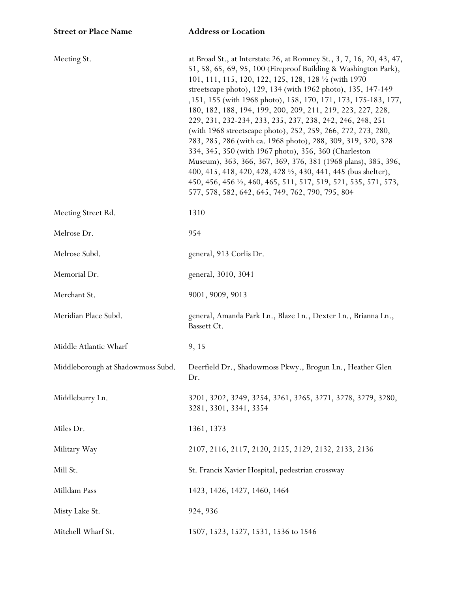| Meeting St.                       | at Broad St., at Interstate 26, at Romney St., 3, 7, 16, 20, 43, 47,<br>51, 58, 65, 69, 95, 100 (Fireproof Building & Washington Park),<br>101, 111, 115, 120, 122, 125, 128, 128 1/2 (with 1970<br>streetscape photo), 129, 134 (with 1962 photo), 135, 147-149<br>,151, 155 (with 1968 photo), 158, 170, 171, 173, 175-183, 177,<br>180, 182, 188, 194, 199, 200, 209, 211, 219, 223, 227, 228,<br>229, 231, 232-234, 233, 235, 237, 238, 242, 246, 248, 251<br>(with 1968 streetscape photo), 252, 259, 266, 272, 273, 280,<br>283, 285, 286 (with ca. 1968 photo), 288, 309, 319, 320, 328<br>334, 345, 350 (with 1967 photo), 356, 360 (Charleston<br>Museum), 363, 366, 367, 369, 376, 381 (1968 plans), 385, 396,<br>400, 415, 418, 420, 428, 428 ½, 430, 441, 445 (bus shelter),<br>450, 456, 456 $\frac{1}{2}$ , 460, 465, 511, 517, 519, 521, 535, 571, 573,<br>577, 578, 582, 642, 645, 749, 762, 790, 795, 804 |
|-----------------------------------|----------------------------------------------------------------------------------------------------------------------------------------------------------------------------------------------------------------------------------------------------------------------------------------------------------------------------------------------------------------------------------------------------------------------------------------------------------------------------------------------------------------------------------------------------------------------------------------------------------------------------------------------------------------------------------------------------------------------------------------------------------------------------------------------------------------------------------------------------------------------------------------------------------------------------|
| Meeting Street Rd.                | 1310                                                                                                                                                                                                                                                                                                                                                                                                                                                                                                                                                                                                                                                                                                                                                                                                                                                                                                                       |
| Melrose Dr.                       | 954                                                                                                                                                                                                                                                                                                                                                                                                                                                                                                                                                                                                                                                                                                                                                                                                                                                                                                                        |
| Melrose Subd.                     | general, 913 Corlis Dr.                                                                                                                                                                                                                                                                                                                                                                                                                                                                                                                                                                                                                                                                                                                                                                                                                                                                                                    |
| Memorial Dr.                      | general, 3010, 3041                                                                                                                                                                                                                                                                                                                                                                                                                                                                                                                                                                                                                                                                                                                                                                                                                                                                                                        |
| Merchant St.                      | 9001, 9009, 9013                                                                                                                                                                                                                                                                                                                                                                                                                                                                                                                                                                                                                                                                                                                                                                                                                                                                                                           |
| Meridian Place Subd.              | general, Amanda Park Ln., Blaze Ln., Dexter Ln., Brianna Ln.,<br>Bassett Ct.                                                                                                                                                                                                                                                                                                                                                                                                                                                                                                                                                                                                                                                                                                                                                                                                                                               |
| Middle Atlantic Wharf             | 9, 15                                                                                                                                                                                                                                                                                                                                                                                                                                                                                                                                                                                                                                                                                                                                                                                                                                                                                                                      |
| Middleborough at Shadowmoss Subd. | Deerfield Dr., Shadowmoss Pkwy., Brogun Ln., Heather Glen<br>Dr.                                                                                                                                                                                                                                                                                                                                                                                                                                                                                                                                                                                                                                                                                                                                                                                                                                                           |
| Middleburry Ln.                   | 3201, 3202, 3249, 3254, 3261, 3265, 3271, 3278, 3279, 3280,<br>3281, 3301, 3341, 3354                                                                                                                                                                                                                                                                                                                                                                                                                                                                                                                                                                                                                                                                                                                                                                                                                                      |
| Miles Dr.                         | 1361, 1373                                                                                                                                                                                                                                                                                                                                                                                                                                                                                                                                                                                                                                                                                                                                                                                                                                                                                                                 |
| Military Way                      | 2107, 2116, 2117, 2120, 2125, 2129, 2132, 2133, 2136                                                                                                                                                                                                                                                                                                                                                                                                                                                                                                                                                                                                                                                                                                                                                                                                                                                                       |
| Mill St.                          | St. Francis Xavier Hospital, pedestrian crossway                                                                                                                                                                                                                                                                                                                                                                                                                                                                                                                                                                                                                                                                                                                                                                                                                                                                           |
| Milldam Pass                      | 1423, 1426, 1427, 1460, 1464                                                                                                                                                                                                                                                                                                                                                                                                                                                                                                                                                                                                                                                                                                                                                                                                                                                                                               |
| Misty Lake St.                    | 924, 936                                                                                                                                                                                                                                                                                                                                                                                                                                                                                                                                                                                                                                                                                                                                                                                                                                                                                                                   |
| Mitchell Wharf St.                | 1507, 1523, 1527, 1531, 1536 to 1546                                                                                                                                                                                                                                                                                                                                                                                                                                                                                                                                                                                                                                                                                                                                                                                                                                                                                       |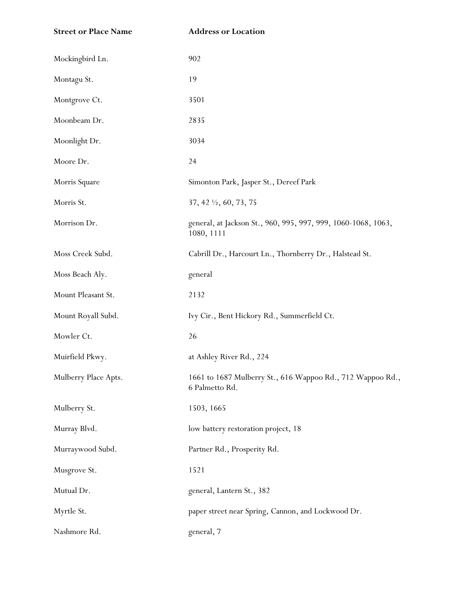| <b>Street or Place Name</b> | <b>Address or Location</b>                                                   |
|-----------------------------|------------------------------------------------------------------------------|
| Mockingbird Ln.             | 902                                                                          |
| Montagu St.                 | 19                                                                           |
| Montgrove Ct.               | 3501                                                                         |
| Moonbeam Dr.                | 2835                                                                         |
| Moonlight Dr.               | 3034                                                                         |
| Moore Dr.                   | 24                                                                           |
| Morris Square               | Simonton Park, Jasper St., Dereef Park                                       |
| Morris St.                  | 37, 42 $\frac{1}{2}$ , 60, 73, 75                                            |
| Morrison Dr.                | general, at Jackson St., 960, 995, 997, 999, 1060-1068, 1063,<br>1080, 1111  |
| Moss Creek Subd.            | Cabrill Dr., Harcourt Ln., Thornberry Dr., Halstead St.                      |
| Moss Beach Aly.             | general                                                                      |
| Mount Pleasant St.          | 2132                                                                         |
| Mount Royall Subd.          | Ivy Cir., Bent Hickory Rd., Summerfield Ct.                                  |
| Mowler Ct.                  | 26                                                                           |
| Muirfield Pkwy.             | at Ashley River Rd., 224                                                     |
| Mulberry Place Apts.        | 1661 to 1687 Mulberry St., 616 Wappoo Rd., 712 Wappoo Rd.,<br>6 Palmetto Rd. |
| Mulberry St.                | 1503, 1665                                                                   |
| Murray Blvd.                | low battery restoration project, 18                                          |
| Murraywood Subd.            | Partner Rd., Prosperity Rd.                                                  |
| Musgrove St.                | 1521                                                                         |
| Mutual Dr.                  | general, Lantern St., 382                                                    |
| Myrtle St.                  | paper street near Spring, Cannon, and Lockwood Dr.                           |
| Nashmore Rd.                | general, 7                                                                   |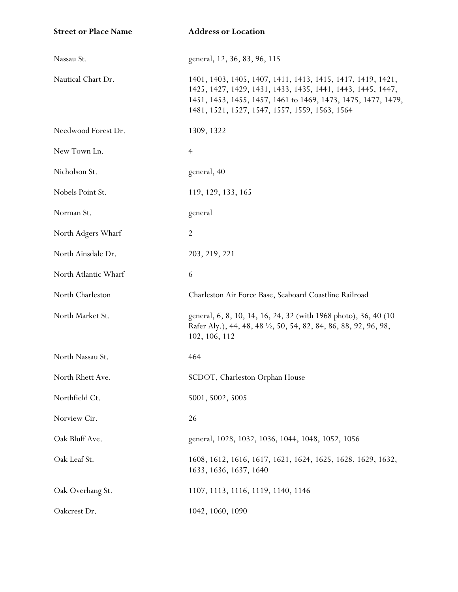| <b>Street or Place Name</b> | <b>Address or Location</b>                                                                                                                                                                                                                    |
|-----------------------------|-----------------------------------------------------------------------------------------------------------------------------------------------------------------------------------------------------------------------------------------------|
| Nassau St.                  | general, 12, 36, 83, 96, 115                                                                                                                                                                                                                  |
| Nautical Chart Dr.          | 1401, 1403, 1405, 1407, 1411, 1413, 1415, 1417, 1419, 1421,<br>1425, 1427, 1429, 1431, 1433, 1435, 1441, 1443, 1445, 1447,<br>1451, 1453, 1455, 1457, 1461 to 1469, 1473, 1475, 1477, 1479,<br>1481, 1521, 1527, 1547, 1557, 1559, 1563, 1564 |
| Needwood Forest Dr.         | 1309, 1322                                                                                                                                                                                                                                    |
| New Town Ln.                | $\overline{4}$                                                                                                                                                                                                                                |
| Nicholson St.               | general, 40                                                                                                                                                                                                                                   |
| Nobels Point St.            | 119, 129, 133, 165                                                                                                                                                                                                                            |
| Norman St.                  | general                                                                                                                                                                                                                                       |
| North Adgers Wharf          | $\overline{2}$                                                                                                                                                                                                                                |
| North Ainsdale Dr.          | 203, 219, 221                                                                                                                                                                                                                                 |
| North Atlantic Wharf        | 6                                                                                                                                                                                                                                             |
| North Charleston            | Charleston Air Force Base, Seaboard Coastline Railroad                                                                                                                                                                                        |
| North Market St.            | general, 6, 8, 10, 14, 16, 24, 32 (with 1968 photo), 36, 40 (10)<br>Rafer Aly.), 44, 48, 48 1/2, 50, 54, 82, 84, 86, 88, 92, 96, 98,<br>102, 106, 112                                                                                         |
| North Nassau St.            | 464                                                                                                                                                                                                                                           |
| North Rhett Ave.            | SCDOT, Charleston Orphan House                                                                                                                                                                                                                |
| Northfield Ct.              | 5001, 5002, 5005                                                                                                                                                                                                                              |
| Norview Cir.                | 26                                                                                                                                                                                                                                            |
| Oak Bluff Ave.              | general, 1028, 1032, 1036, 1044, 1048, 1052, 1056                                                                                                                                                                                             |
| Oak Leaf St.                | 1608, 1612, 1616, 1617, 1621, 1624, 1625, 1628, 1629, 1632,<br>1633, 1636, 1637, 1640                                                                                                                                                         |
| Oak Overhang St.            | 1107, 1113, 1116, 1119, 1140, 1146                                                                                                                                                                                                            |
| Oakcrest Dr.                | 1042, 1060, 1090                                                                                                                                                                                                                              |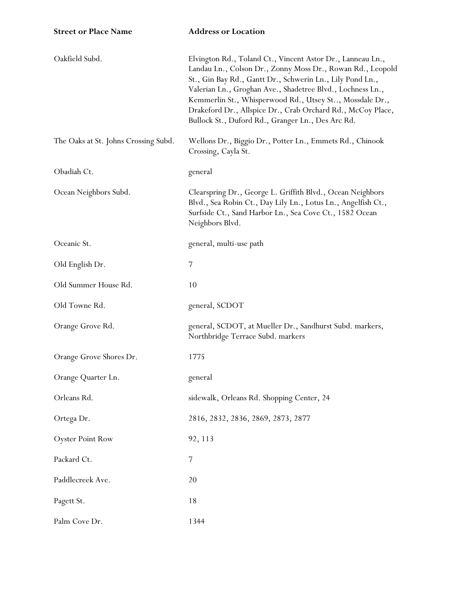| Oakfield Subd.                       | Elvington Rd., Toland Ct., Vincent Astor Dr., Lanneau Ln.,<br>Landau Ln., Colson Dr., Zonny Moss Dr., Rowan Rd., Leopold<br>St., Gin Bay Rd., Gantt Dr., Schwerin Ln., Lily Pond Ln.,<br>Valerian Ln., Groghan Ave., Shadetree Blvd., Lochness Ln.,<br>Kemmerlin St., Whisperwood Rd., Utsey St, Mossdale Dr.,<br>Drakeford Dr., Allspice Dr., Crab Orchard Rd., McCoy Place,<br>Bullock St., Duford Rd., Granger Ln., Des Arc Rd. |
|--------------------------------------|------------------------------------------------------------------------------------------------------------------------------------------------------------------------------------------------------------------------------------------------------------------------------------------------------------------------------------------------------------------------------------------------------------------------------------|
| The Oaks at St. Johns Crossing Subd. | Wellons Dr., Biggio Dr., Potter Ln., Emmets Rd., Chinook<br>Crossing, Cayla St.                                                                                                                                                                                                                                                                                                                                                    |
| Obadiah Ct.                          | general                                                                                                                                                                                                                                                                                                                                                                                                                            |
| Ocean Neighbors Subd.                | Clearspring Dr., George L. Griffith Blvd., Ocean Neighbors<br>Blvd., Sea Robin Ct., Day Lily Ln., Lotus Ln., Angelfish Ct.,<br>Surfside Ct., Sand Harbor Ln., Sea Cove Ct., 1582 Ocean<br>Neighbors Blvd.                                                                                                                                                                                                                          |
| Oceanic St.                          | general, multi-use path                                                                                                                                                                                                                                                                                                                                                                                                            |
| Old English Dr.                      | 7                                                                                                                                                                                                                                                                                                                                                                                                                                  |
| Old Summer House Rd.                 | 10                                                                                                                                                                                                                                                                                                                                                                                                                                 |
| Old Towne Rd.                        | general, SCDOT                                                                                                                                                                                                                                                                                                                                                                                                                     |
| Orange Grove Rd.                     | general, SCDOT, at Mueller Dr., Sandhurst Subd. markers,<br>Northbridge Terrace Subd. markers                                                                                                                                                                                                                                                                                                                                      |
| Orange Grove Shores Dr.              | 1775                                                                                                                                                                                                                                                                                                                                                                                                                               |
| Orange Quarter Ln.                   | general                                                                                                                                                                                                                                                                                                                                                                                                                            |
| Orleans Rd.                          | sidewalk, Orleans Rd. Shopping Center, 24                                                                                                                                                                                                                                                                                                                                                                                          |
| Ortega Dr.                           | 2816, 2832, 2836, 2869, 2873, 2877                                                                                                                                                                                                                                                                                                                                                                                                 |
| <b>Oyster Point Row</b>              | 92, 113                                                                                                                                                                                                                                                                                                                                                                                                                            |
| Packard Ct.                          | 7                                                                                                                                                                                                                                                                                                                                                                                                                                  |
| Paddlecreek Ave.                     | 20                                                                                                                                                                                                                                                                                                                                                                                                                                 |
| Pagett St.                           | 18                                                                                                                                                                                                                                                                                                                                                                                                                                 |
| Palm Cove Dr.                        | 1344                                                                                                                                                                                                                                                                                                                                                                                                                               |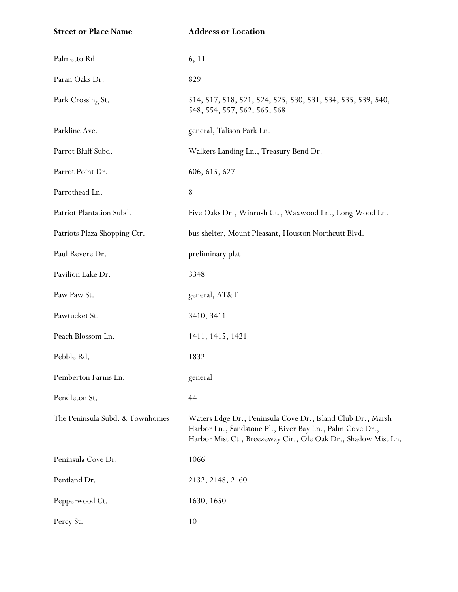| <b>Street or Place Name</b>     | <b>Address or Location</b>                                                                                                                                                               |
|---------------------------------|------------------------------------------------------------------------------------------------------------------------------------------------------------------------------------------|
| Palmetto Rd.                    | 6, 11                                                                                                                                                                                    |
| Paran Oaks Dr.                  | 829                                                                                                                                                                                      |
| Park Crossing St.               | 514, 517, 518, 521, 524, 525, 530, 531, 534, 535, 539, 540,<br>548, 554, 557, 562, 565, 568                                                                                              |
| Parkline Ave.                   | general, Talison Park Ln.                                                                                                                                                                |
| Parrot Bluff Subd.              | Walkers Landing Ln., Treasury Bend Dr.                                                                                                                                                   |
| Parrot Point Dr.                | 606, 615, 627                                                                                                                                                                            |
| Parrothead Ln.                  | $8\,$                                                                                                                                                                                    |
| Patriot Plantation Subd.        | Five Oaks Dr., Winrush Ct., Waxwood Ln., Long Wood Ln.                                                                                                                                   |
| Patriots Plaza Shopping Ctr.    | bus shelter, Mount Pleasant, Houston Northcutt Blvd.                                                                                                                                     |
| Paul Revere Dr.                 | preliminary plat                                                                                                                                                                         |
| Pavilion Lake Dr.               | 3348                                                                                                                                                                                     |
| Paw Paw St.                     | general, AT&T                                                                                                                                                                            |
| Pawtucket St.                   | 3410, 3411                                                                                                                                                                               |
| Peach Blossom Ln.               | 1411, 1415, 1421                                                                                                                                                                         |
| Pebble Rd.                      | 1832                                                                                                                                                                                     |
| Pemberton Farms Ln.             | general                                                                                                                                                                                  |
| Pendleton St.                   | 44                                                                                                                                                                                       |
| The Peninsula Subd. & Townhomes | Waters Edge Dr., Peninsula Cove Dr., Island Club Dr., Marsh<br>Harbor Ln., Sandstone Pl., River Bay Ln., Palm Cove Dr.,<br>Harbor Mist Ct., Breezeway Cir., Ole Oak Dr., Shadow Mist Ln. |
| Peninsula Cove Dr.              | 1066                                                                                                                                                                                     |
| Pentland Dr.                    | 2132, 2148, 2160                                                                                                                                                                         |
| Pepperwood Ct.                  | 1630, 1650                                                                                                                                                                               |
| Percy St.                       | 10                                                                                                                                                                                       |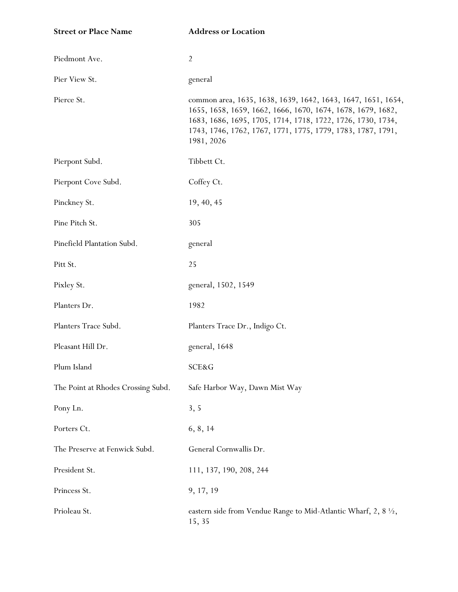| <b>Street or Place Name</b>        | <b>Address or Location</b>                                                                                                                                                                                                                                              |
|------------------------------------|-------------------------------------------------------------------------------------------------------------------------------------------------------------------------------------------------------------------------------------------------------------------------|
| Piedmont Ave.                      | $\overline{2}$                                                                                                                                                                                                                                                          |
| Pier View St.                      | general                                                                                                                                                                                                                                                                 |
| Pierce St.                         | common area, 1635, 1638, 1639, 1642, 1643, 1647, 1651, 1654,<br>1655, 1658, 1659, 1662, 1666, 1670, 1674, 1678, 1679, 1682,<br>1683, 1686, 1695, 1705, 1714, 1718, 1722, 1726, 1730, 1734,<br>1743, 1746, 1762, 1767, 1771, 1775, 1779, 1783, 1787, 1791,<br>1981, 2026 |
| Pierpont Subd.                     | Tibbett Ct.                                                                                                                                                                                                                                                             |
| Pierpont Cove Subd.                | Coffey Ct.                                                                                                                                                                                                                                                              |
| Pinckney St.                       | 19, 40, 45                                                                                                                                                                                                                                                              |
| Pine Pitch St.                     | 305                                                                                                                                                                                                                                                                     |
| Pinefield Plantation Subd.         | general                                                                                                                                                                                                                                                                 |
| Pitt St.                           | 25                                                                                                                                                                                                                                                                      |
| Pixley St.                         | general, 1502, 1549                                                                                                                                                                                                                                                     |
| Planters Dr.                       | 1982                                                                                                                                                                                                                                                                    |
| Planters Trace Subd.               | Planters Trace Dr., Indigo Ct.                                                                                                                                                                                                                                          |
| Pleasant Hill Dr.                  | general, 1648                                                                                                                                                                                                                                                           |
| Plum Island                        | SCE&G                                                                                                                                                                                                                                                                   |
| The Point at Rhodes Crossing Subd. | Safe Harbor Way, Dawn Mist Way                                                                                                                                                                                                                                          |
| Pony Ln.                           | 3, 5                                                                                                                                                                                                                                                                    |
| Porters Ct.                        | 6, 8, 14                                                                                                                                                                                                                                                                |
| The Preserve at Fenwick Subd.      | General Cornwallis Dr.                                                                                                                                                                                                                                                  |
| President St.                      | 111, 137, 190, 208, 244                                                                                                                                                                                                                                                 |
| Princess St.                       | 9, 17, 19                                                                                                                                                                                                                                                               |
| Prioleau St.                       | eastern side from Vendue Range to Mid-Atlantic Wharf, 2, 8 1/2,<br>15, 35                                                                                                                                                                                               |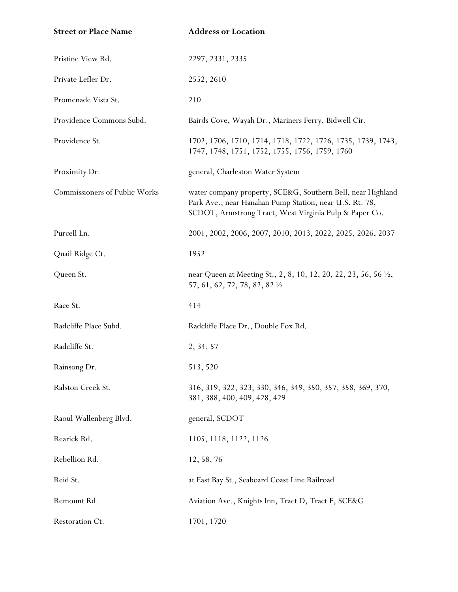| <b>Street or Place Name</b>   | <b>Address or Location</b>                                                                                                                                                       |
|-------------------------------|----------------------------------------------------------------------------------------------------------------------------------------------------------------------------------|
| Pristine View Rd.             | 2297, 2331, 2335                                                                                                                                                                 |
| Private Lefler Dr.            | 2552, 2610                                                                                                                                                                       |
| Promenade Vista St.           | 210                                                                                                                                                                              |
| Providence Commons Subd.      | Bairds Cove, Wayah Dr., Mariners Ferry, Bidwell Cir.                                                                                                                             |
| Providence St.                | 1702, 1706, 1710, 1714, 1718, 1722, 1726, 1735, 1739, 1743,<br>1747, 1748, 1751, 1752, 1755, 1756, 1759, 1760                                                                    |
| Proximity Dr.                 | general, Charleston Water System                                                                                                                                                 |
| Commissioners of Public Works | water company property, SCE&G, Southern Bell, near Highland<br>Park Ave., near Hanahan Pump Station, near U.S. Rt. 78,<br>SCDOT, Armstrong Tract, West Virginia Pulp & Paper Co. |
| Purcell Ln.                   | 2001, 2002, 2006, 2007, 2010, 2013, 2022, 2025, 2026, 2037                                                                                                                       |
| Quail Ridge Ct.               | 1952                                                                                                                                                                             |
| Queen St.                     | near Queen at Meeting St., 2, 8, 10, 12, 20, 22, 23, 56, 56 1/2,<br>57, 61, 62, 72, 78, 82, 82 1/2                                                                               |
| Race St.                      | 414                                                                                                                                                                              |
| Radcliffe Place Subd.         | Radcliffe Place Dr., Double Fox Rd.                                                                                                                                              |
| Radcliffe St.                 | 2, 34, 57                                                                                                                                                                        |
| Rainsong Dr.                  | 513, 520                                                                                                                                                                         |
| Ralston Creek St.             | 316, 319, 322, 323, 330, 346, 349, 350, 357, 358, 369, 370,<br>381, 388, 400, 409, 428, 429                                                                                      |
| Raoul Wallenberg Blvd.        | general, SCDOT                                                                                                                                                                   |
| Rearick Rd.                   | 1105, 1118, 1122, 1126                                                                                                                                                           |
| Rebellion Rd.                 | 12, 58, 76                                                                                                                                                                       |
| Reid St.                      | at East Bay St., Seaboard Coast Line Railroad                                                                                                                                    |
| Remount Rd.                   | Aviation Ave., Knights Inn, Tract D, Tract F, SCE&G                                                                                                                              |
| Restoration Ct.               | 1701, 1720                                                                                                                                                                       |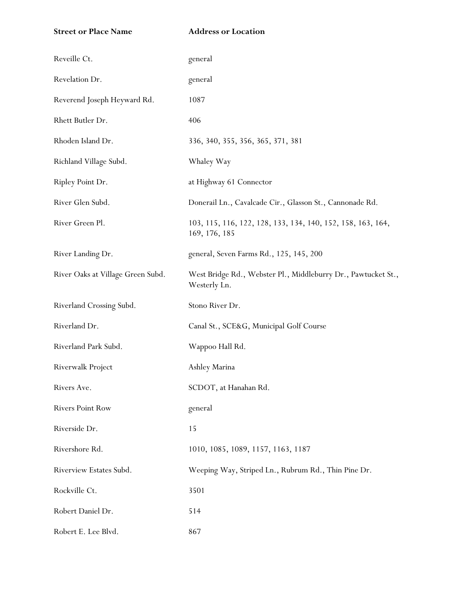**Street or Place Name Address or Location** Reveille Ct. The general general Revelation Dr. general Reverend Joseph Heyward Rd. 1087 Rhett Butler Dr. 406 Rhoden Island Dr. 336, 340, 355, 356, 365, 371, 381 Richland Village Subd. Whaley Way Ripley Point Dr. at Highway 61 Connector River Glen Subd. Donerail Ln., Cavalcade Cir., Glasson St., Cannonade Rd. River Green Pl. 103, 115, 116, 122, 128, 133, 134, 140, 152, 158, 163, 164, 169, 176, 185 River Landing Dr. general, Seven Farms Rd., 125, 145, 200 River Oaks at Village Green Subd. West Bridge Rd., Webster Pl., Middleburry Dr., Pawtucket St., Westerly Ln. Riverland Crossing Subd. Stono River Dr. Riverland Dr. Canal St., SCE&G, Municipal Golf Course Riverland Park Subd. Wappoo Hall Rd. Riverwalk Project Ashley Marina Rivers Ave. SCDOT, at Hanahan Rd. Rivers Point Row general Riverside Dr. 15 Rivershore Rd. 1010, 1085, 1089, 1157, 1163, 1187 Riverview Estates Subd. Weeping Way, Striped Ln., Rubrum Rd., Thin Pine Dr. Rockville Ct. 3501 Robert Daniel Dr. 514 Robert E. Lee Blvd. 867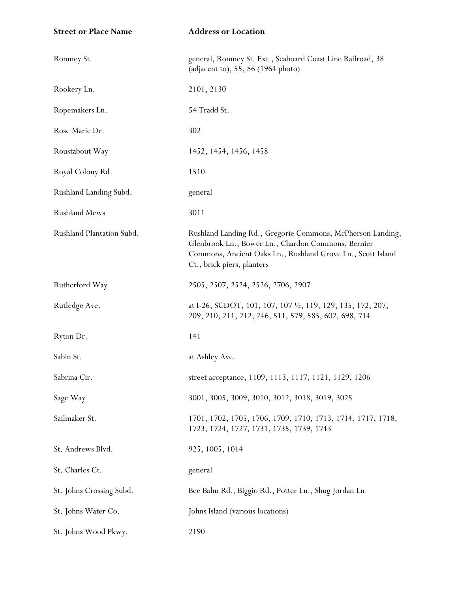| <b>Street or Place Name</b> | <b>Address or Location</b>                                                                                                                                                                                    |
|-----------------------------|---------------------------------------------------------------------------------------------------------------------------------------------------------------------------------------------------------------|
| Romney St.                  | general, Romney St. Ext., Seaboard Coast Line Railroad, 38<br>(adjacent to), 55, 86 (1964 photo)                                                                                                              |
| Rookery Ln.                 | 2101, 2130                                                                                                                                                                                                    |
| Ropemakers Ln.              | 54 Tradd St.                                                                                                                                                                                                  |
| Rose Marie Dr.              | 302                                                                                                                                                                                                           |
| Roustabout Way              | 1452, 1454, 1456, 1458                                                                                                                                                                                        |
| Royal Colony Rd.            | 1510                                                                                                                                                                                                          |
| Rushland Landing Subd.      | general                                                                                                                                                                                                       |
| <b>Rushland Mews</b>        | 3011                                                                                                                                                                                                          |
| Rushland Plantation Subd.   | Rushland Landing Rd., Gregorie Commons, McPherson Landing,<br>Glenbrook Ln., Bower Ln., Chardon Commons, Bernier<br>Commons, Ancient Oaks Ln., Rushland Grove Ln., Scott Island<br>Ct., brick piers, planters |
| Rutherford Way              | 2505, 2507, 2524, 2526, 2706, 2907                                                                                                                                                                            |
| Rutledge Ave.               | at I-26, SCDOT, 101, 107, 107 1/2, 119, 129, 135, 172, 207,<br>209, 210, 211, 212, 246, 511, 579, 585, 602, 698, 714                                                                                          |
| Ryton Dr.                   | 141                                                                                                                                                                                                           |
| Sabin St.                   | at Ashley Ave.                                                                                                                                                                                                |
| Sabrina Cir.                | street acceptance, 1109, 1113, 1117, 1121, 1129, 1206                                                                                                                                                         |
| Sage Way                    | 3001, 3005, 3009, 3010, 3012, 3018, 3019, 3025                                                                                                                                                                |
| Sailmaker St.               | 1701, 1702, 1705, 1706, 1709, 1710, 1713, 1714, 1717, 1718,<br>1723, 1724, 1727, 1731, 1735, 1739, 1743                                                                                                       |
| St. Andrews Blvd.           | 925, 1005, 1014                                                                                                                                                                                               |
| St. Charles Ct.             | general                                                                                                                                                                                                       |
| St. Johns Crossing Subd.    | Bee Balm Rd., Biggio Rd., Potter Ln., Shug Jordan Ln.                                                                                                                                                         |
| St. Johns Water Co.         | Johns Island (various locations)                                                                                                                                                                              |
| St. Johns Wood Pkwy.        | 2190                                                                                                                                                                                                          |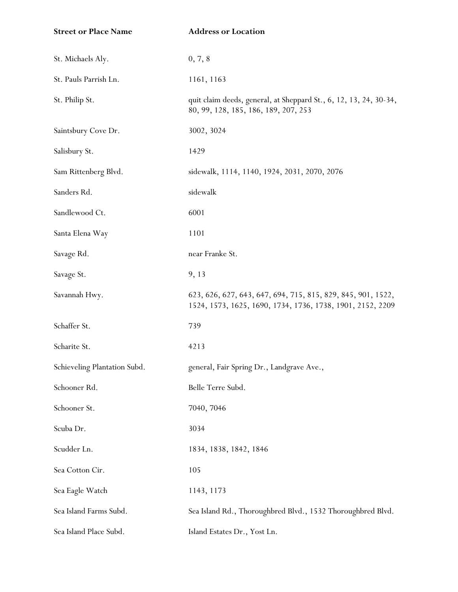| <b>Street or Place Name</b>  | <b>Address or Location</b>                                                                                                 |
|------------------------------|----------------------------------------------------------------------------------------------------------------------------|
| St. Michaels Aly.            | 0, 7, 8                                                                                                                    |
| St. Pauls Parrish Ln.        | 1161, 1163                                                                                                                 |
| St. Philip St.               | quit claim deeds, general, at Sheppard St., 6, 12, 13, 24, 30-34,<br>80, 99, 128, 185, 186, 189, 207, 253                  |
| Saintsbury Cove Dr.          | 3002, 3024                                                                                                                 |
| Salisbury St.                | 1429                                                                                                                       |
| Sam Rittenberg Blvd.         | sidewalk, 1114, 1140, 1924, 2031, 2070, 2076                                                                               |
| Sanders Rd.                  | sidewalk                                                                                                                   |
| Sandlewood Ct.               | 6001                                                                                                                       |
| Santa Elena Way              | 1101                                                                                                                       |
| Savage Rd.                   | near Franke St.                                                                                                            |
| Savage St.                   | 9, 13                                                                                                                      |
| Savannah Hwy.                | 623, 626, 627, 643, 647, 694, 715, 815, 829, 845, 901, 1522,<br>1524, 1573, 1625, 1690, 1734, 1736, 1738, 1901, 2152, 2209 |
| Schaffer St.                 | 739                                                                                                                        |
| Scharite St.                 | 4213                                                                                                                       |
| Schieveling Plantation Subd. | general, Fair Spring Dr., Landgrave Ave.,                                                                                  |
| Schooner Rd.                 | Belle Terre Subd.                                                                                                          |
| Schooner St.                 | 7040, 7046                                                                                                                 |
| Scuba Dr.                    | 3034                                                                                                                       |
| Scudder Ln.                  | 1834, 1838, 1842, 1846                                                                                                     |
| Sea Cotton Cir.              | 105                                                                                                                        |
| Sea Eagle Watch              | 1143, 1173                                                                                                                 |
| Sea Island Farms Subd.       | Sea Island Rd., Thoroughbred Blvd., 1532 Thoroughbred Blvd.                                                                |
| Sea Island Place Subd.       | Island Estates Dr., Yost Ln.                                                                                               |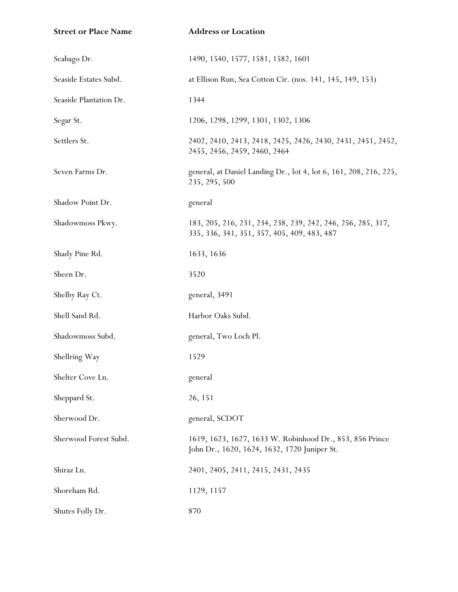| <b>Street or Place Name</b> | <b>Address or Location</b>                                                                                 |
|-----------------------------|------------------------------------------------------------------------------------------------------------|
| Seabago Dr.                 | 1490, 1540, 1577, 1581, 1582, 1601                                                                         |
| Seaside Estates Subd.       | at Ellison Run, Sea Cotton Cir. (nos. 141, 145, 149, 153)                                                  |
| Seaside Plantation Dr.      | 1344                                                                                                       |
| Segar St.                   | 1206, 1298, 1299, 1301, 1302, 1306                                                                         |
| Settlers St.                | 2402, 2410, 2413, 2418, 2425, 2426, 2430, 2431, 2451, 2452,<br>2455, 2456, 2459, 2460, 2464                |
| Seven Farms Dr.             | general, at Daniel Landing Dr., lot 4, lot 6, 161, 208, 216, 225,<br>235, 295, 500                         |
| Shadow Point Dr.            | general                                                                                                    |
| Shadowmoss Pkwy.            | 183, 205, 216, 231, 234, 238, 239, 242, 246, 256, 285, 317,<br>335, 336, 341, 351, 357, 405, 409, 483, 487 |
| Shady Pine Rd.              | 1633, 1636                                                                                                 |
| Sheen Dr.                   | 3520                                                                                                       |
| Shelby Ray Ct.              | general, 3491                                                                                              |
| Shell Sand Rd.              | Harbor Oaks Subd.                                                                                          |
| Shadowmoss Subd.            | general, Two Loch Pl.                                                                                      |
| Shellring Way               | 1529                                                                                                       |
| Shelter Cove Ln.            | general                                                                                                    |
| Sheppard St.                | 26, 151                                                                                                    |
| Sherwood Dr.                | general, SCDOT                                                                                             |
| Sherwood Forest Subd.       | 1619, 1623, 1627, 1633 W. Robinhood Dr., 853, 856 Prince<br>John Dr., 1620, 1624, 1632, 1720 Juniper St.   |
| Shiraz Ln.                  | 2401, 2405, 2411, 2415, 2431, 2435                                                                         |
| Shoreham Rd.                | 1129, 1157                                                                                                 |
| Shutes Folly Dr.            | 870                                                                                                        |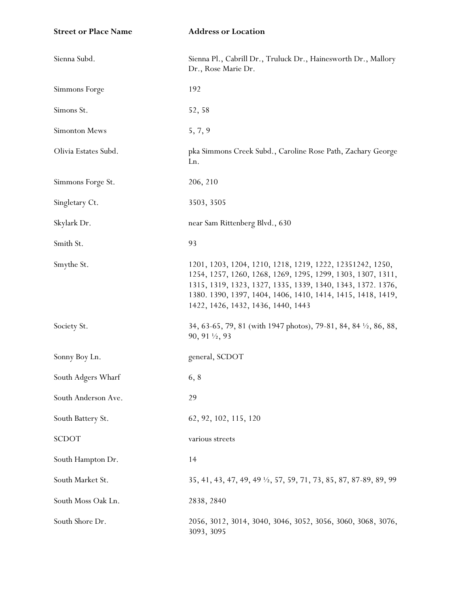| <b>Street or Place Name</b> | <b>Address or Location</b>                                                                                                                                                                                                                                                                   |
|-----------------------------|----------------------------------------------------------------------------------------------------------------------------------------------------------------------------------------------------------------------------------------------------------------------------------------------|
| Sienna Subd.                | Sienna Pl., Cabrill Dr., Truluck Dr., Hainesworth Dr., Mallory<br>Dr., Rose Marie Dr.                                                                                                                                                                                                        |
| Simmons Forge               | 192                                                                                                                                                                                                                                                                                          |
| Simons St.                  | 52, 58                                                                                                                                                                                                                                                                                       |
| Simonton Mews               | 5, 7, 9                                                                                                                                                                                                                                                                                      |
| Olivia Estates Subd.        | pka Simmons Creek Subd., Caroline Rose Path, Zachary George<br>Ln.                                                                                                                                                                                                                           |
| Simmons Forge St.           | 206, 210                                                                                                                                                                                                                                                                                     |
| Singletary Ct.              | 3503, 3505                                                                                                                                                                                                                                                                                   |
| Skylark Dr.                 | near Sam Rittenberg Blvd., 630                                                                                                                                                                                                                                                               |
| Smith St.                   | 93                                                                                                                                                                                                                                                                                           |
| Smythe St.                  | 1201, 1203, 1204, 1210, 1218, 1219, 1222, 12351242, 1250,<br>1254, 1257, 1260, 1268, 1269, 1295, 1299, 1303, 1307, 1311,<br>1315, 1319, 1323, 1327, 1335, 1339, 1340, 1343, 1372. 1376,<br>1380. 1390, 1397, 1404, 1406, 1410, 1414, 1415, 1418, 1419,<br>1422, 1426, 1432, 1436, 1440, 1443 |
| Society St.                 | 34, 63-65, 79, 81 (with 1947 photos), 79-81, 84, 84 $\frac{1}{2}$ , 86, 88,<br>90, 91 $\frac{1}{2}$ , 93                                                                                                                                                                                     |
| Sonny Boy Ln.               | general, SCDOT                                                                                                                                                                                                                                                                               |
| South Adgers Wharf          | 6, 8                                                                                                                                                                                                                                                                                         |
| South Anderson Ave.         | 29                                                                                                                                                                                                                                                                                           |
| South Battery St.           | 62, 92, 102, 115, 120                                                                                                                                                                                                                                                                        |
| <b>SCDOT</b>                | various streets                                                                                                                                                                                                                                                                              |
| South Hampton Dr.           | 14                                                                                                                                                                                                                                                                                           |
| South Market St.            | 35, 41, 43, 47, 49, 49 $\frac{1}{2}$ , 57, 59, 71, 73, 85, 87, 87-89, 89, 99                                                                                                                                                                                                                 |
| South Moss Oak Ln.          | 2838, 2840                                                                                                                                                                                                                                                                                   |
| South Shore Dr.             | 2056, 3012, 3014, 3040, 3046, 3052, 3056, 3060, 3068, 3076,<br>3093, 3095                                                                                                                                                                                                                    |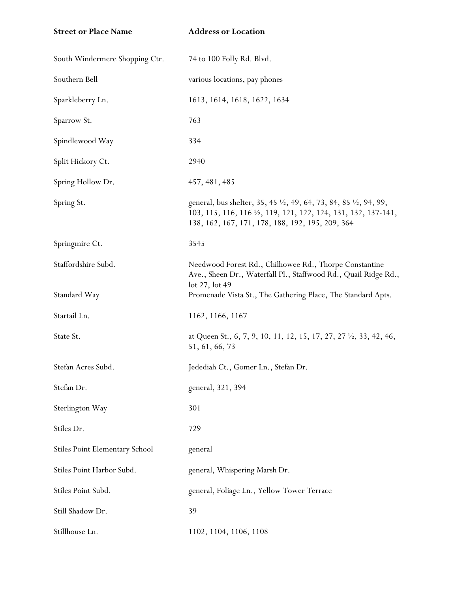**Street or Place Name Address or Location**

| South Windermere Shopping Ctr.        | 74 to 100 Folly Rd. Blvd.                                                                                                                                                                          |
|---------------------------------------|----------------------------------------------------------------------------------------------------------------------------------------------------------------------------------------------------|
| Southern Bell                         | various locations, pay phones                                                                                                                                                                      |
| Sparkleberry Ln.                      | 1613, 1614, 1618, 1622, 1634                                                                                                                                                                       |
| Sparrow St.                           | 763                                                                                                                                                                                                |
| Spindlewood Way                       | 334                                                                                                                                                                                                |
| Split Hickory Ct.                     | 2940                                                                                                                                                                                               |
| Spring Hollow Dr.                     | 457, 481, 485                                                                                                                                                                                      |
| Spring St.                            | general, bus shelter, 35, 45 1/2, 49, 64, 73, 84, 85 1/2, 94, 99,<br>103, 115, 116, 116 $\frac{1}{2}$ , 119, 121, 122, 124, 131, 132, 137-141,<br>138, 162, 167, 171, 178, 188, 192, 195, 209, 364 |
| Springmire Ct.                        | 3545                                                                                                                                                                                               |
| Staffordshire Subd.                   | Needwood Forest Rd., Chilhowee Rd., Thorpe Constantine<br>Ave., Sheen Dr., Waterfall Pl., Staffwood Rd., Quail Ridge Rd.,<br>$\det 27$ , $\det 49$                                                 |
| Standard Way                          | Promenade Vista St., The Gathering Place, The Standard Apts.                                                                                                                                       |
| Startail Ln.                          | 1162, 1166, 1167                                                                                                                                                                                   |
| State St.                             | at Queen St., 6, 7, 9, 10, 11, 12, 15, 17, 27, 27 1/2, 33, 42, 46,<br>51, 61, 66, 73                                                                                                               |
| Stefan Acres Subd.                    | Jedediah Ct., Gomer Ln., Stefan Dr.                                                                                                                                                                |
| Stefan Dr.                            | general, 321, 394                                                                                                                                                                                  |
| Sterlington Way                       | 301                                                                                                                                                                                                |
| Stiles Dr.                            | 729                                                                                                                                                                                                |
| <b>Stiles Point Elementary School</b> | general                                                                                                                                                                                            |
| Stiles Point Harbor Subd.             | general, Whispering Marsh Dr.                                                                                                                                                                      |
| Stiles Point Subd.                    | general, Foliage Ln., Yellow Tower Terrace                                                                                                                                                         |
| Still Shadow Dr.                      | 39                                                                                                                                                                                                 |
| Stillhouse Ln.                        | 1102, 1104, 1106, 1108                                                                                                                                                                             |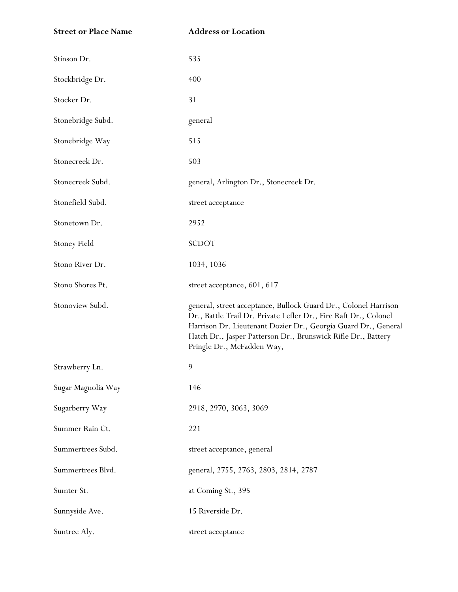| <b>Street or Place Name</b> | <b>Address or Location</b>                                                                                                                                                                                                                                                                           |
|-----------------------------|------------------------------------------------------------------------------------------------------------------------------------------------------------------------------------------------------------------------------------------------------------------------------------------------------|
| Stinson Dr.                 | 535                                                                                                                                                                                                                                                                                                  |
| Stockbridge Dr.             | 400                                                                                                                                                                                                                                                                                                  |
| Stocker Dr.                 | 31                                                                                                                                                                                                                                                                                                   |
| Stonebridge Subd.           | general                                                                                                                                                                                                                                                                                              |
| Stonebridge Way             | 515                                                                                                                                                                                                                                                                                                  |
| Stonecreek Dr.              | 503                                                                                                                                                                                                                                                                                                  |
| Stonecreek Subd.            | general, Arlington Dr., Stonecreek Dr.                                                                                                                                                                                                                                                               |
| Stonefield Subd.            | street acceptance                                                                                                                                                                                                                                                                                    |
| Stonetown Dr.               | 2952                                                                                                                                                                                                                                                                                                 |
| <b>Stoney Field</b>         | <b>SCDOT</b>                                                                                                                                                                                                                                                                                         |
| Stono River Dr.             | 1034, 1036                                                                                                                                                                                                                                                                                           |
| Stono Shores Pt.            | street acceptance, 601, 617                                                                                                                                                                                                                                                                          |
| Stonoview Subd.             | general, street acceptance, Bullock Guard Dr., Colonel Harrison<br>Dr., Battle Trail Dr. Private Lefler Dr., Fire Raft Dr., Colonel<br>Harrison Dr. Lieutenant Dozier Dr., Georgia Guard Dr., General<br>Hatch Dr., Jasper Patterson Dr., Brunswick Rifle Dr., Battery<br>Pringle Dr., McFadden Way, |
| Strawberry Ln.              | 9                                                                                                                                                                                                                                                                                                    |
| Sugar Magnolia Way          | 146                                                                                                                                                                                                                                                                                                  |
| Sugarberry Way              | 2918, 2970, 3063, 3069                                                                                                                                                                                                                                                                               |
| Summer Rain Ct.             | 221                                                                                                                                                                                                                                                                                                  |
| Summertrees Subd.           | street acceptance, general                                                                                                                                                                                                                                                                           |
| Summertrees Blvd.           | general, 2755, 2763, 2803, 2814, 2787                                                                                                                                                                                                                                                                |
| Sumter St.                  | at Coming St., 395                                                                                                                                                                                                                                                                                   |
| Sunnyside Ave.              | 15 Riverside Dr.                                                                                                                                                                                                                                                                                     |
| Suntree Aly.                | street acceptance                                                                                                                                                                                                                                                                                    |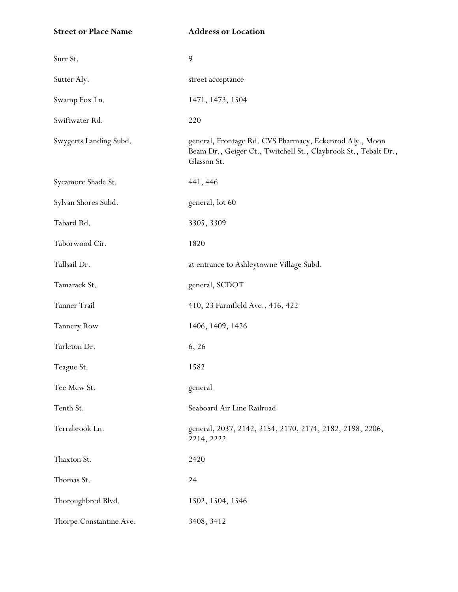**Street or Place Name Address or Location**

| Surr St.                | 9                                                                                                                                         |
|-------------------------|-------------------------------------------------------------------------------------------------------------------------------------------|
| Sutter Aly.             | street acceptance                                                                                                                         |
| Swamp Fox Ln.           | 1471, 1473, 1504                                                                                                                          |
| Swiftwater Rd.          | 220                                                                                                                                       |
| Swygerts Landing Subd.  | general, Frontage Rd. CVS Pharmacy, Eckenrod Aly., Moon<br>Beam Dr., Geiger Ct., Twitchell St., Claybrook St., Tebalt Dr.,<br>Glasson St. |
| Sycamore Shade St.      | 441, 446                                                                                                                                  |
| Sylvan Shores Subd.     | general, lot 60                                                                                                                           |
| Tabard Rd.              | 3305, 3309                                                                                                                                |
| Taborwood Cir.          | 1820                                                                                                                                      |
| Tallsail Dr.            | at entrance to Ashleytowne Village Subd.                                                                                                  |
| Tamarack St.            | general, SCDOT                                                                                                                            |
| Tanner Trail            | 410, 23 Farmfield Ave., 416, 422                                                                                                          |
| <b>Tannery Row</b>      | 1406, 1409, 1426                                                                                                                          |
| Tarleton Dr.            | 6, 26                                                                                                                                     |
| Teague St.              | 1582                                                                                                                                      |
| Tee Mew St.             | general                                                                                                                                   |
| Tenth St.               | Seaboard Air Line Railroad                                                                                                                |
| Terrabrook Ln.          | general, 2037, 2142, 2154, 2170, 2174, 2182, 2198, 2206,<br>2214, 2222                                                                    |
| Thaxton St.             | 2420                                                                                                                                      |
| Thomas St.              | 24                                                                                                                                        |
| Thoroughbred Blvd.      | 1502, 1504, 1546                                                                                                                          |
| Thorpe Constantine Ave. | 3408, 3412                                                                                                                                |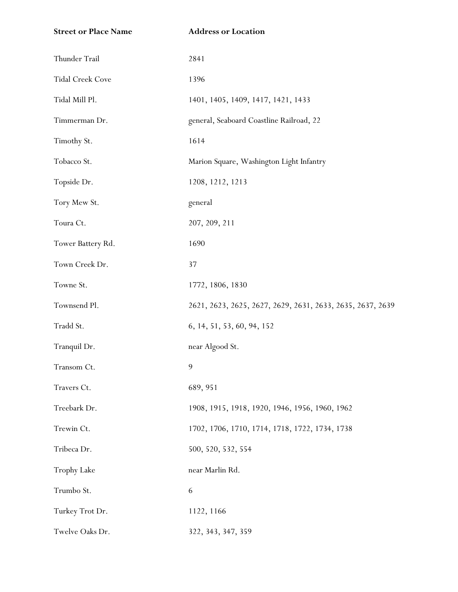| <b>Street or Place Name</b> | <b>Address or Location</b>                                 |
|-----------------------------|------------------------------------------------------------|
| Thunder Trail               | 2841                                                       |
| Tidal Creek Cove            | 1396                                                       |
| Tidal Mill Pl.              | 1401, 1405, 1409, 1417, 1421, 1433                         |
| Timmerman Dr.               | general, Seaboard Coastline Railroad, 22                   |
| Timothy St.                 | 1614                                                       |
| Tobacco St.                 | Marion Square, Washington Light Infantry                   |
| Topside Dr.                 | 1208, 1212, 1213                                           |
| Tory Mew St.                | general                                                    |
| Toura Ct.                   | 207, 209, 211                                              |
| Tower Battery Rd.           | 1690                                                       |
| Town Creek Dr.              | 37                                                         |
| Towne St.                   | 1772, 1806, 1830                                           |
| Townsend Pl.                | 2621, 2623, 2625, 2627, 2629, 2631, 2633, 2635, 2637, 2639 |
| Tradd St.                   | 6, 14, 51, 53, 60, 94, 152                                 |
| Tranquil Dr.                | near Algood St.                                            |
| Transom Ct.                 | 9                                                          |
| Travers Ct.                 | 689, 951                                                   |
| Treebark Dr.                | 1908, 1915, 1918, 1920, 1946, 1956, 1960, 1962             |
| Trewin Ct.                  | 1702, 1706, 1710, 1714, 1718, 1722, 1734, 1738             |
| Tribeca Dr.                 | 500, 520, 532, 554                                         |
| Trophy Lake                 | near Marlin Rd.                                            |
| Trumbo St.                  | 6                                                          |
| Turkey Trot Dr.             | 1122, 1166                                                 |
| Twelve Oaks Dr.             | 322, 343, 347, 359                                         |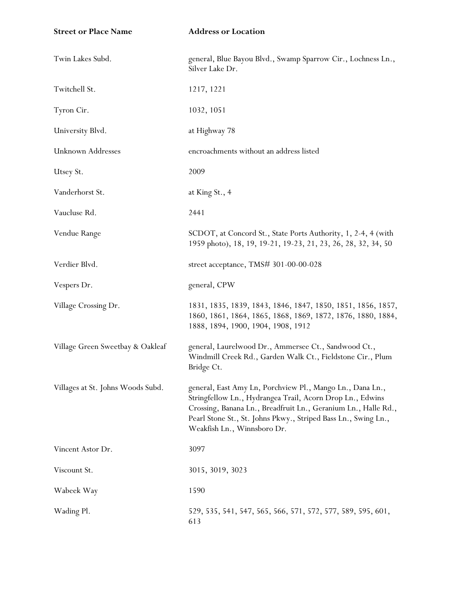| <b>Street or Place Name</b>       | <b>Address or Location</b>                                                                                                                                                                                                                                                                |
|-----------------------------------|-------------------------------------------------------------------------------------------------------------------------------------------------------------------------------------------------------------------------------------------------------------------------------------------|
| Twin Lakes Subd.                  | general, Blue Bayou Blvd., Swamp Sparrow Cir., Lochness Ln.,<br>Silver Lake Dr.                                                                                                                                                                                                           |
| Twitchell St.                     | 1217, 1221                                                                                                                                                                                                                                                                                |
| Tyron Cir.                        | 1032, 1051                                                                                                                                                                                                                                                                                |
| University Blvd.                  | at Highway 78                                                                                                                                                                                                                                                                             |
| Unknown Addresses                 | encroachments without an address listed                                                                                                                                                                                                                                                   |
| Utsey St.                         | 2009                                                                                                                                                                                                                                                                                      |
| Vanderhorst St.                   | at King St., 4                                                                                                                                                                                                                                                                            |
| Vaucluse Rd.                      | 2441                                                                                                                                                                                                                                                                                      |
| Vendue Range                      | SCDOT, at Concord St., State Ports Authority, 1, 2-4, 4 (with<br>1959 photo), 18, 19, 19-21, 19-23, 21, 23, 26, 28, 32, 34, 50                                                                                                                                                            |
| Verdier Blvd.                     | street acceptance, TMS# 301-00-00-028                                                                                                                                                                                                                                                     |
| Vespers Dr.                       | general, CPW                                                                                                                                                                                                                                                                              |
| Village Crossing Dr.              | 1831, 1835, 1839, 1843, 1846, 1847, 1850, 1851, 1856, 1857,<br>1860, 1861, 1864, 1865, 1868, 1869, 1872, 1876, 1880, 1884,<br>1888, 1894, 1900, 1904, 1908, 1912                                                                                                                          |
| Village Green Sweetbay & Oakleaf  | general, Laurelwood Dr., Ammersee Ct., Sandwood Ct.,<br>Windmill Creek Rd., Garden Walk Ct., Fieldstone Cir., Plum<br>Bridge Ct.                                                                                                                                                          |
| Villages at St. Johns Woods Subd. | general, East Amy Ln, Porchview Pl., Mango Ln., Dana Ln.,<br>Stringfellow Ln., Hydrangea Trail, Acorn Drop Ln., Edwins<br>Crossing, Banana Ln., Breadfruit Ln., Geranium Ln., Halle Rd.,<br>Pearl Stone St., St. Johns Pkwy., Striped Bass Ln., Swing Ln.,<br>Weakfish Ln., Winnsboro Dr. |
| Vincent Astor Dr.                 | 3097                                                                                                                                                                                                                                                                                      |
| Viscount St.                      | 3015, 3019, 3023                                                                                                                                                                                                                                                                          |
| Wabeek Way                        | 1590                                                                                                                                                                                                                                                                                      |
| Wading Pl.                        | 529, 535, 541, 547, 565, 566, 571, 572, 577, 589, 595, 601,<br>613                                                                                                                                                                                                                        |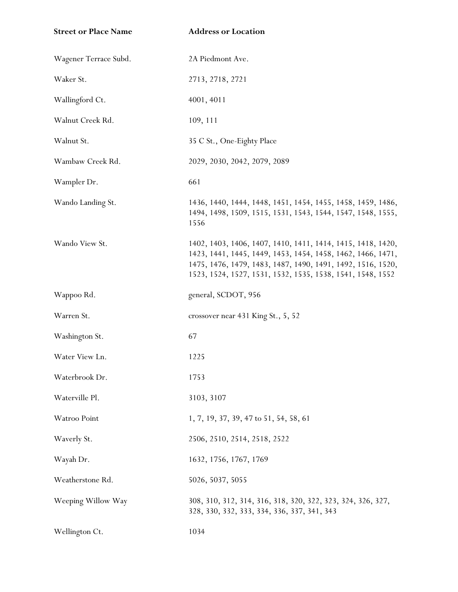| <b>Street or Place Name</b> | <b>Address or Location</b>                                                                                                                                                                                                                              |
|-----------------------------|---------------------------------------------------------------------------------------------------------------------------------------------------------------------------------------------------------------------------------------------------------|
| Wagener Terrace Subd.       | 2A Piedmont Ave.                                                                                                                                                                                                                                        |
| Waker St.                   | 2713, 2718, 2721                                                                                                                                                                                                                                        |
| Wallingford Ct.             | 4001, 4011                                                                                                                                                                                                                                              |
| Walnut Creek Rd.            | 109, 111                                                                                                                                                                                                                                                |
| Walnut St.                  | 35 C St., One-Eighty Place                                                                                                                                                                                                                              |
| Wambaw Creek Rd.            | 2029, 2030, 2042, 2079, 2089                                                                                                                                                                                                                            |
| Wampler Dr.                 | 661                                                                                                                                                                                                                                                     |
| Wando Landing St.           | 1436, 1440, 1444, 1448, 1451, 1454, 1455, 1458, 1459, 1486,<br>1494, 1498, 1509, 1515, 1531, 1543, 1544, 1547, 1548, 1555,<br>1556                                                                                                                      |
| Wando View St.              | 1402, 1403, 1406, 1407, 1410, 1411, 1414, 1415, 1418, 1420,<br>1423, 1441, 1445, 1449, 1453, 1454, 1458, 1462, 1466, 1471,<br>1475, 1476, 1479, 1483, 1487, 1490, 1491, 1492, 1516, 1520,<br>1523, 1524, 1527, 1531, 1532, 1535, 1538, 1541, 1548, 1552 |
| Wappoo Rd.                  | general, SCDOT, 956                                                                                                                                                                                                                                     |
| Warren St.                  | crossover near 431 King St., 5, 52                                                                                                                                                                                                                      |
| Washington St.              | 67                                                                                                                                                                                                                                                      |
| Water View Ln.              | 1225                                                                                                                                                                                                                                                    |
| Waterbrook Dr.              | 1753                                                                                                                                                                                                                                                    |
| Waterville Pl.              | 3103, 3107                                                                                                                                                                                                                                              |
| Watroo Point                | 1, 7, 19, 37, 39, 47 to 51, 54, 58, 61                                                                                                                                                                                                                  |
| Waverly St.                 | 2506, 2510, 2514, 2518, 2522                                                                                                                                                                                                                            |
| Wayah Dr.                   | 1632, 1756, 1767, 1769                                                                                                                                                                                                                                  |
| Weatherstone Rd.            | 5026, 5037, 5055                                                                                                                                                                                                                                        |
| Weeping Willow Way          | 308, 310, 312, 314, 316, 318, 320, 322, 323, 324, 326, 327,<br>328, 330, 332, 333, 334, 336, 337, 341, 343                                                                                                                                              |
| Wellington Ct.              | 1034                                                                                                                                                                                                                                                    |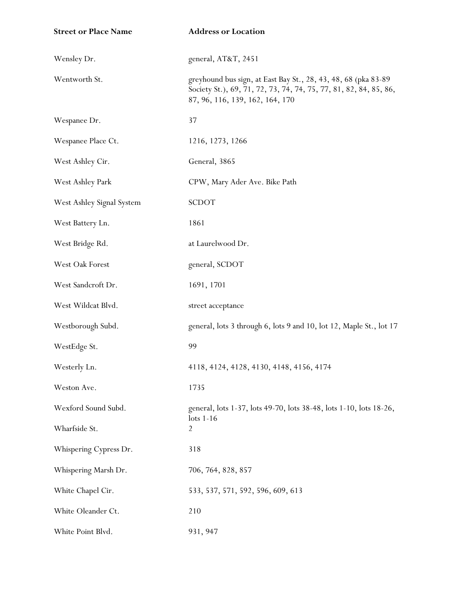| <b>Street or Place Name</b> | <b>Address or Location</b>                                                                                                                                              |
|-----------------------------|-------------------------------------------------------------------------------------------------------------------------------------------------------------------------|
| Wensley Dr.                 | general, AT&T, 2451                                                                                                                                                     |
| Wentworth St.               | greyhound bus sign, at East Bay St., 28, 43, 48, 68 (pka 83-89)<br>Society St.), 69, 71, 72, 73, 74, 74, 75, 77, 81, 82, 84, 85, 86,<br>87, 96, 116, 139, 162, 164, 170 |
| Wespanee Dr.                | 37                                                                                                                                                                      |
| Wespanee Place Ct.          | 1216, 1273, 1266                                                                                                                                                        |
| West Ashley Cir.            | General, 3865                                                                                                                                                           |
| West Ashley Park            | CPW, Mary Ader Ave. Bike Path                                                                                                                                           |
| West Ashley Signal System   | <b>SCDOT</b>                                                                                                                                                            |
| West Battery Ln.            | 1861                                                                                                                                                                    |
| West Bridge Rd.             | at Laurelwood Dr.                                                                                                                                                       |
| West Oak Forest             | general, SCDOT                                                                                                                                                          |
| West Sandcroft Dr.          | 1691, 1701                                                                                                                                                              |
| West Wildcat Blvd.          | street acceptance                                                                                                                                                       |
| Westborough Subd.           | general, lots 3 through 6, lots 9 and 10, lot 12, Maple St., lot 17                                                                                                     |
| WestEdge St.                | 99                                                                                                                                                                      |
| Westerly Ln.                | 4118, 4124, 4128, 4130, 4148, 4156, 4174                                                                                                                                |
| Weston Ave.                 | 1735                                                                                                                                                                    |
| Wexford Sound Subd.         | general, lots 1-37, lots 49-70, lots 38-48, lots 1-10, lots 18-26,                                                                                                      |
| Wharfside St.               | $\frac{1}{16}$<br>2                                                                                                                                                     |
| Whispering Cypress Dr.      | 318                                                                                                                                                                     |
| Whispering Marsh Dr.        | 706, 764, 828, 857                                                                                                                                                      |
| White Chapel Cir.           | 533, 537, 571, 592, 596, 609, 613                                                                                                                                       |
| White Oleander Ct.          | 210                                                                                                                                                                     |
| White Point Blvd.           | 931, 947                                                                                                                                                                |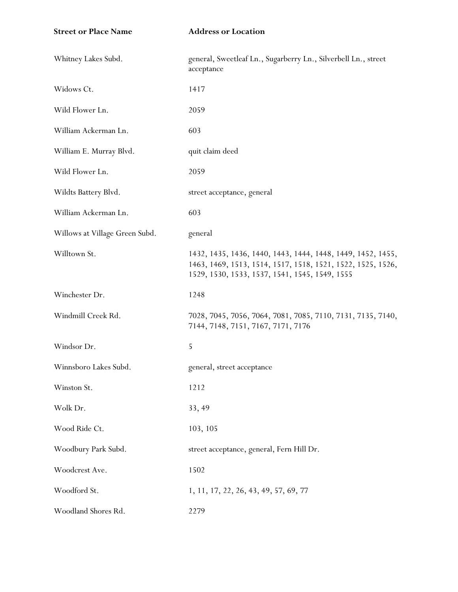| <b>Street or Place Name</b>    | <b>Address or Location</b>                                                                                                                                                   |
|--------------------------------|------------------------------------------------------------------------------------------------------------------------------------------------------------------------------|
| Whitney Lakes Subd.            | general, Sweetleaf Ln., Sugarberry Ln., Silverbell Ln., street<br>acceptance                                                                                                 |
| Widows Ct.                     | 1417                                                                                                                                                                         |
| Wild Flower Ln.                | 2059                                                                                                                                                                         |
| William Ackerman Ln.           | 603                                                                                                                                                                          |
| William E. Murray Blvd.        | quit claim deed                                                                                                                                                              |
| Wild Flower Ln.                | 2059                                                                                                                                                                         |
| Wildts Battery Blvd.           | street acceptance, general                                                                                                                                                   |
| William Ackerman Ln.           | 603                                                                                                                                                                          |
| Willows at Village Green Subd. | general                                                                                                                                                                      |
| Willtown St.                   | 1432, 1435, 1436, 1440, 1443, 1444, 1448, 1449, 1452, 1455,<br>1463, 1469, 1513, 1514, 1517, 1518, 1521, 1522, 1525, 1526,<br>1529, 1530, 1533, 1537, 1541, 1545, 1549, 1555 |
| Winchester Dr.                 | 1248                                                                                                                                                                         |
| Windmill Creek Rd.             | 7028, 7045, 7056, 7064, 7081, 7085, 7110, 7131, 7135, 7140,<br>7144, 7148, 7151, 7167, 7171, 7176                                                                            |
| Windsor Dr.                    | 5                                                                                                                                                                            |
| Winnsboro Lakes Subd.          | general, street acceptance                                                                                                                                                   |
| Winston St.                    | 1212                                                                                                                                                                         |
| Wolk Dr.                       | 33, 49                                                                                                                                                                       |
| Wood Ride Ct.                  | 103, 105                                                                                                                                                                     |
| Woodbury Park Subd.            | street acceptance, general, Fern Hill Dr.                                                                                                                                    |
| Woodcrest Ave.                 | 1502                                                                                                                                                                         |
| Woodford St.                   | 1, 11, 17, 22, 26, 43, 49, 57, 69, 77                                                                                                                                        |
| Woodland Shores Rd.            | 2279                                                                                                                                                                         |